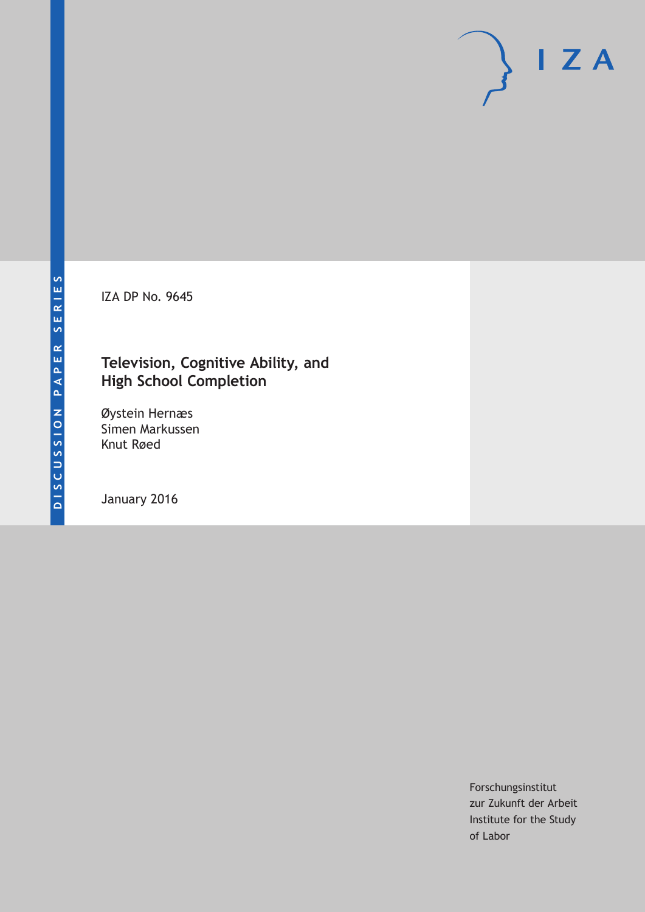IZA DP No. 9645

## **Television, Cognitive Ability, and High School Completion**

Øystein Hernæs Simen Markussen Knut Røed

January 2016

Forschungsinstitut zur Zukunft der Arbeit Institute for the Study of Labor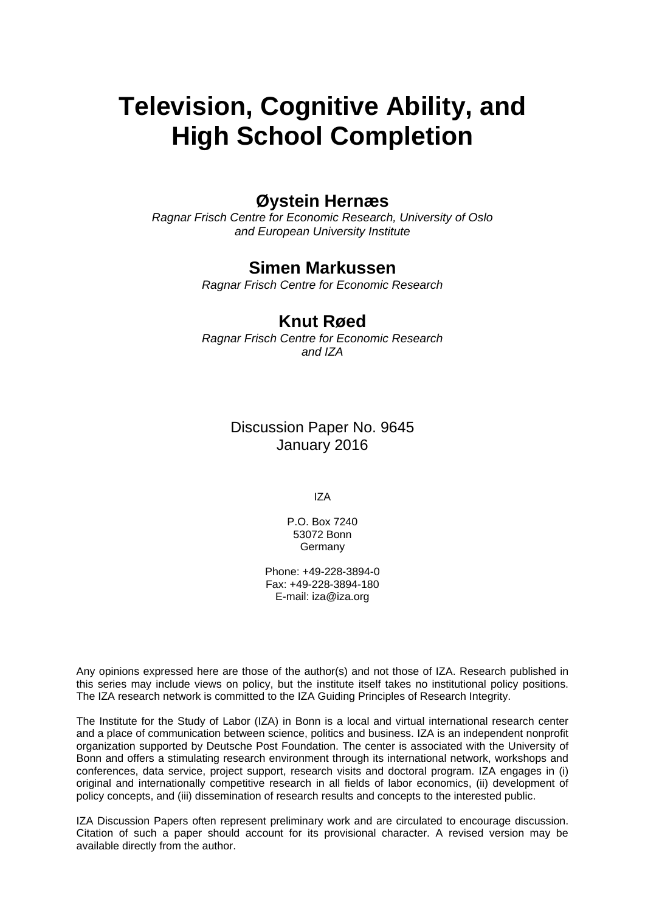# **Television, Cognitive Ability, and High School Completion**

### **Øystein Hernæs**

*Ragnar Frisch Centre for Economic Research, University of Oslo and European University Institute* 

### **Simen Markussen**

*Ragnar Frisch Centre for Economic Research* 

### **Knut Røed**

*Ragnar Frisch Centre for Economic Research and IZA*

> Discussion Paper No. 9645 January 2016

> > IZA

P.O. Box 7240 53072 Bonn Germany

Phone: +49-228-3894-0 Fax: +49-228-3894-180 E-mail: iza@iza.org

Any opinions expressed here are those of the author(s) and not those of IZA. Research published in this series may include views on policy, but the institute itself takes no institutional policy positions. The IZA research network is committed to the IZA Guiding Principles of Research Integrity.

The Institute for the Study of Labor (IZA) in Bonn is a local and virtual international research center and a place of communication between science, politics and business. IZA is an independent nonprofit organization supported by Deutsche Post Foundation. The center is associated with the University of Bonn and offers a stimulating research environment through its international network, workshops and conferences, data service, project support, research visits and doctoral program. IZA engages in (i) original and internationally competitive research in all fields of labor economics, (ii) development of policy concepts, and (iii) dissemination of research results and concepts to the interested public.

IZA Discussion Papers often represent preliminary work and are circulated to encourage discussion. Citation of such a paper should account for its provisional character. A revised version may be available directly from the author.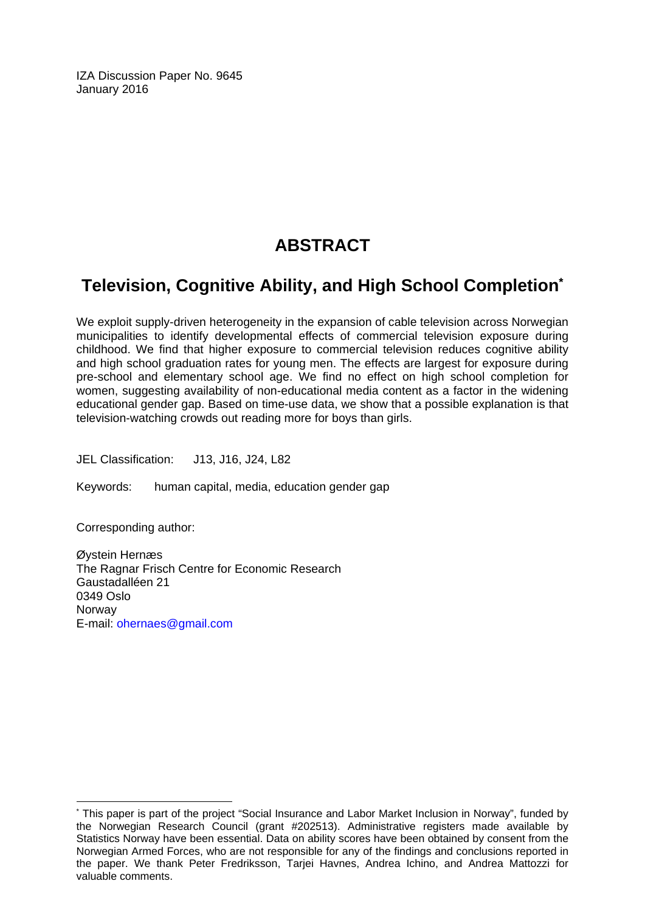IZA Discussion Paper No. 9645 January 2016

# **ABSTRACT**

# **Television, Cognitive Ability, and High School Completion\***

We exploit supply-driven heterogeneity in the expansion of cable television across Norwegian municipalities to identify developmental effects of commercial television exposure during childhood. We find that higher exposure to commercial television reduces cognitive ability and high school graduation rates for young men. The effects are largest for exposure during pre-school and elementary school age. We find no effect on high school completion for women, suggesting availability of non-educational media content as a factor in the widening educational gender gap. Based on time-use data, we show that a possible explanation is that television-watching crowds out reading more for boys than girls.

JEL Classification: J13, J16, J24, L82

Keywords: human capital, media, education gender gap

Corresponding author:

 $\overline{\phantom{a}}$ 

Øystein Hernæs The Ragnar Frisch Centre for Economic Research Gaustadalléen 21 0349 Oslo Norway E-mail: ohernaes@gmail.com

<sup>\*</sup> This paper is part of the project "Social Insurance and Labor Market Inclusion in Norway", funded by the Norwegian Research Council (grant #202513). Administrative registers made available by Statistics Norway have been essential. Data on ability scores have been obtained by consent from the Norwegian Armed Forces, who are not responsible for any of the findings and conclusions reported in the paper. We thank Peter Fredriksson, Tarjei Havnes, Andrea Ichino, and Andrea Mattozzi for valuable comments.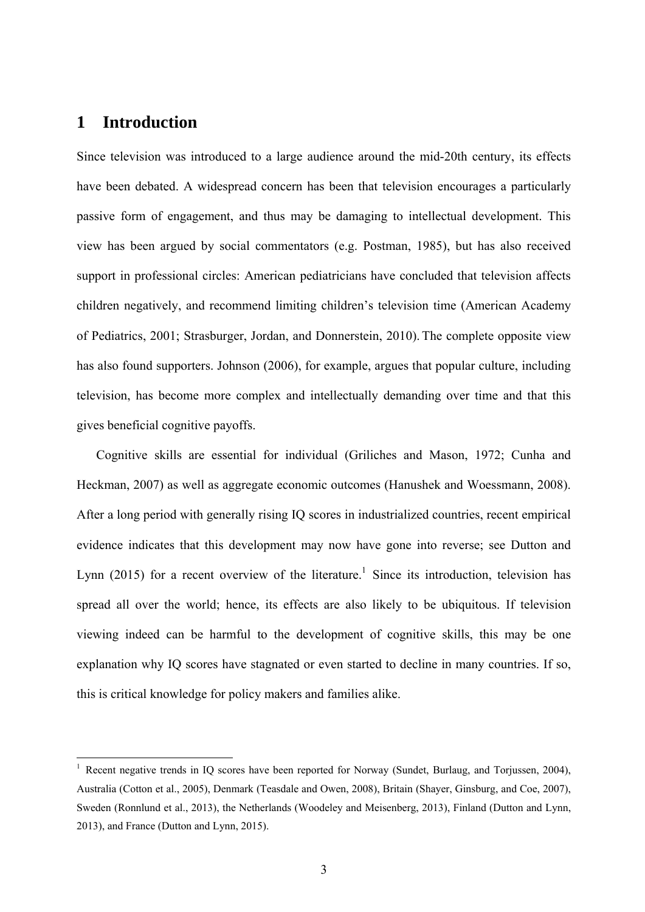### **1 Introduction**

1

Since television was introduced to a large audience around the mid-20th century, its effects have been debated. A widespread concern has been that television encourages a particularly passive form of engagement, and thus may be damaging to intellectual development. This view has been argued by social commentators (e.g. Postman, 1985), but has also received support in professional circles: American pediatricians have concluded that television affects children negatively, and recommend limiting children's television time (American Academy of Pediatrics, 2001; Strasburger, Jordan, and Donnerstein, 2010). The complete opposite view has also found supporters. Johnson (2006), for example, argues that popular culture, including television, has become more complex and intellectually demanding over time and that this gives beneficial cognitive payoffs.

Cognitive skills are essential for individual (Griliches and Mason, 1972; Cunha and Heckman, 2007) as well as aggregate economic outcomes (Hanushek and Woessmann, 2008). After a long period with generally rising IQ scores in industrialized countries, recent empirical evidence indicates that this development may now have gone into reverse; see Dutton and Lynn (2015) for a recent overview of the literature.<sup>1</sup> Since its introduction, television has spread all over the world; hence, its effects are also likely to be ubiquitous. If television viewing indeed can be harmful to the development of cognitive skills, this may be one explanation why IQ scores have stagnated or even started to decline in many countries. If so, this is critical knowledge for policy makers and families alike.

<sup>&</sup>lt;sup>1</sup> Recent negative trends in IQ scores have been reported for Norway (Sundet, Burlaug, and Torjussen, 2004), Australia (Cotton et al., 2005), Denmark (Teasdale and Owen, 2008), Britain (Shayer, Ginsburg, and Coe, 2007), Sweden (Ronnlund et al., 2013), the Netherlands (Woodeley and Meisenberg, 2013), Finland (Dutton and Lynn, 2013), and France (Dutton and Lynn, 2015).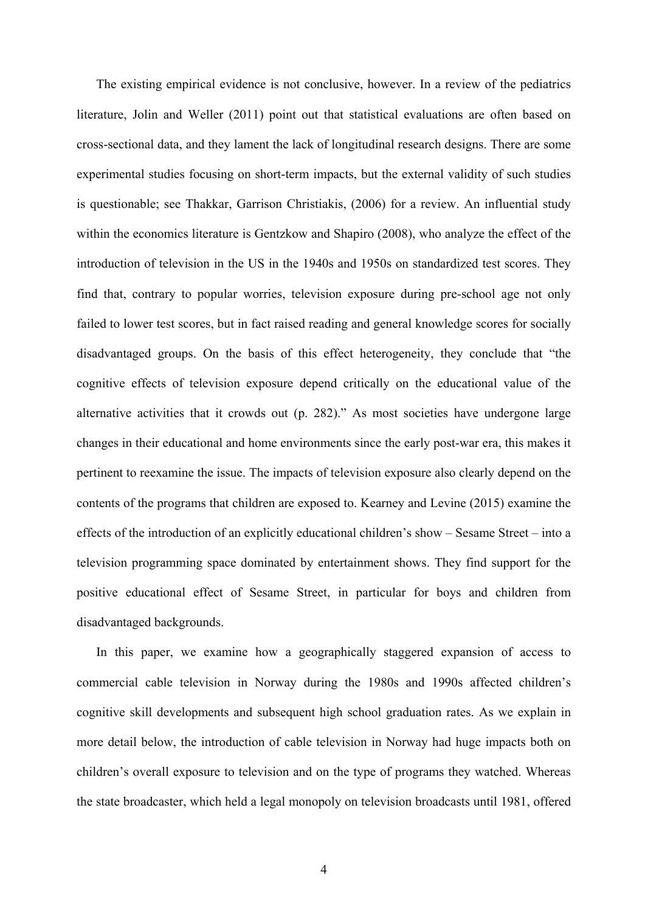The existing empirical evidence is not conclusive, however. In a review of the pediatrics literature, Jolin and Weller (2011) point out that statistical evaluations are often based on cross-sectional data, and they lament the lack of longitudinal research designs. There are some experimental studies focusing on short-term impacts, but the external validity of such studies is questionable; see Thakkar, Garrison Christiakis, (2006) for a review. An influential study within the economics literature is Gentzkow and Shapiro (2008), who analyze the effect of the introduction of television in the US in the 1940s and 1950s on standardized test scores. They find that, contrary to popular worries, television exposure during pre-school age not only failed to lower test scores, but in fact raised reading and general knowledge scores for socially disadvantaged groups. On the basis of this effect heterogeneity, they conclude that "the cognitive effects of television exposure depend critically on the educational value of the alternative activities that it crowds out (p. 282)." As most societies have undergone large changes in their educational and home environments since the early post-war era, this makes it pertinent to reexamine the issue. The impacts of television exposure also clearly depend on the contents of the programs that children are exposed to. Kearney and Levine (2015) examine the effects of the introduction of an explicitly educational children's show – Sesame Street – into a television programming space dominated by entertainment shows. They find support for the positive educational effect of Sesame Street, in particular for boys and children from disadvantaged backgrounds.

In this paper, we examine how a geographically staggered expansion of access to commercial cable television in Norway during the 1980s and 1990s affected children's cognitive skill developments and subsequent high school graduation rates. As we explain in more detail below, the introduction of cable television in Norway had huge impacts both on children's overall exposure to television and on the type of programs they watched. Whereas the state broadcaster, which held a legal monopoly on television broadcasts until 1981, offered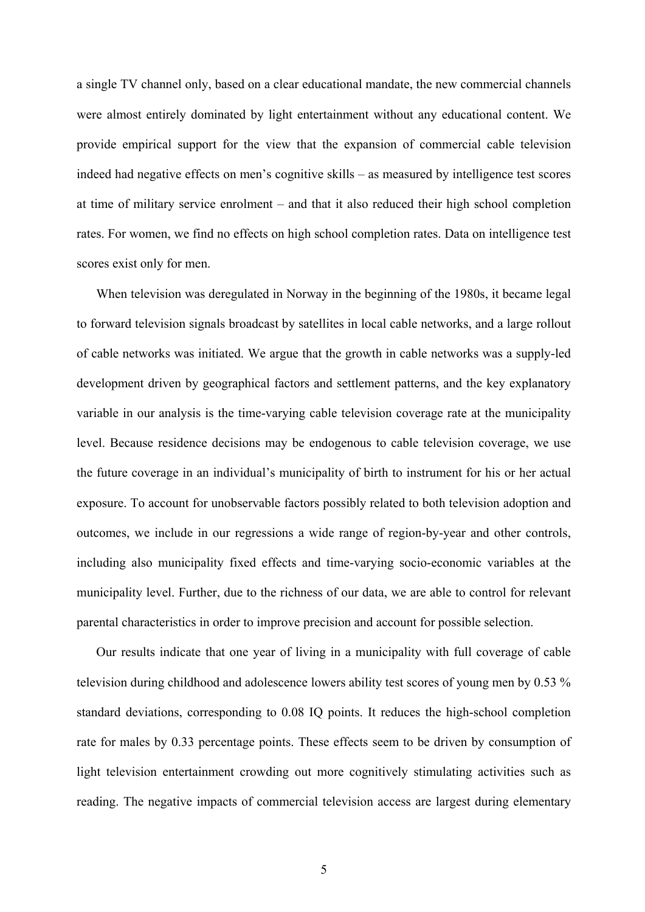a single TV channel only, based on a clear educational mandate, the new commercial channels were almost entirely dominated by light entertainment without any educational content. We provide empirical support for the view that the expansion of commercial cable television indeed had negative effects on men's cognitive skills – as measured by intelligence test scores at time of military service enrolment – and that it also reduced their high school completion rates. For women, we find no effects on high school completion rates. Data on intelligence test scores exist only for men.

When television was deregulated in Norway in the beginning of the 1980s, it became legal to forward television signals broadcast by satellites in local cable networks, and a large rollout of cable networks was initiated. We argue that the growth in cable networks was a supply-led development driven by geographical factors and settlement patterns, and the key explanatory variable in our analysis is the time-varying cable television coverage rate at the municipality level. Because residence decisions may be endogenous to cable television coverage, we use the future coverage in an individual's municipality of birth to instrument for his or her actual exposure. To account for unobservable factors possibly related to both television adoption and outcomes, we include in our regressions a wide range of region-by-year and other controls, including also municipality fixed effects and time-varying socio-economic variables at the municipality level. Further, due to the richness of our data, we are able to control for relevant parental characteristics in order to improve precision and account for possible selection.

Our results indicate that one year of living in a municipality with full coverage of cable television during childhood and adolescence lowers ability test scores of young men by 0.53 % standard deviations, corresponding to 0.08 IQ points. It reduces the high-school completion rate for males by 0.33 percentage points. These effects seem to be driven by consumption of light television entertainment crowding out more cognitively stimulating activities such as reading. The negative impacts of commercial television access are largest during elementary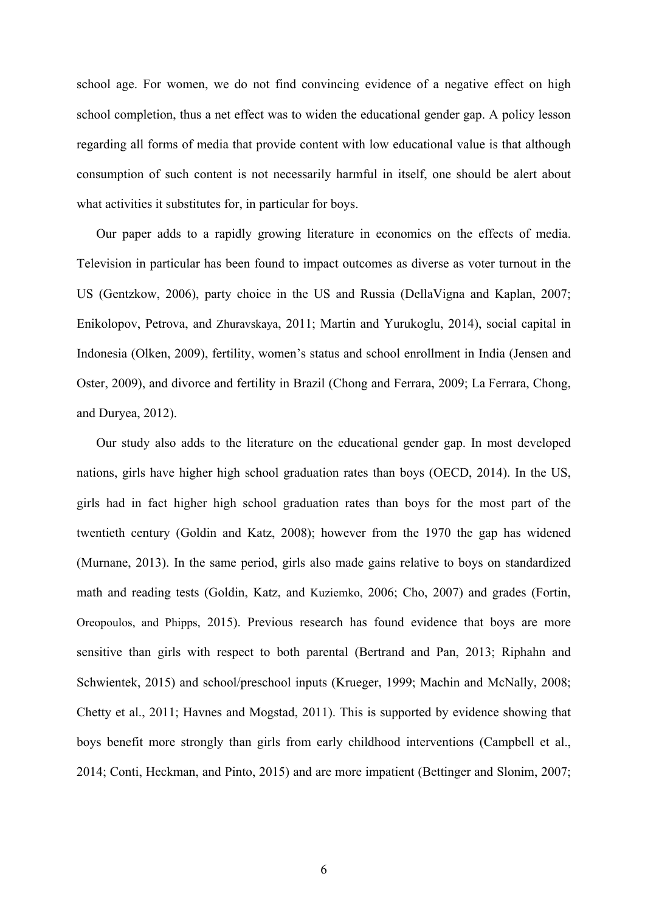school age. For women, we do not find convincing evidence of a negative effect on high school completion, thus a net effect was to widen the educational gender gap. A policy lesson regarding all forms of media that provide content with low educational value is that although consumption of such content is not necessarily harmful in itself, one should be alert about what activities it substitutes for, in particular for boys.

Our paper adds to a rapidly growing literature in economics on the effects of media. Television in particular has been found to impact outcomes as diverse as voter turnout in the US (Gentzkow, 2006), party choice in the US and Russia (DellaVigna and Kaplan, 2007; Enikolopov, Petrova, and Zhuravskaya, 2011; Martin and Yurukoglu, 2014), social capital in Indonesia (Olken, 2009), fertility, women's status and school enrollment in India (Jensen and Oster, 2009), and divorce and fertility in Brazil (Chong and Ferrara, 2009; La Ferrara, Chong, and Duryea, 2012).

Our study also adds to the literature on the educational gender gap. In most developed nations, girls have higher high school graduation rates than boys (OECD, 2014). In the US, girls had in fact higher high school graduation rates than boys for the most part of the twentieth century (Goldin and Katz, 2008); however from the 1970 the gap has widened (Murnane, 2013). In the same period, girls also made gains relative to boys on standardized math and reading tests (Goldin, Katz, and Kuziemko, 2006; Cho, 2007) and grades (Fortin, Oreopoulos, and Phipps, 2015). Previous research has found evidence that boys are more sensitive than girls with respect to both parental (Bertrand and Pan, 2013; Riphahn and Schwientek, 2015) and school/preschool inputs (Krueger, 1999; Machin and McNally, 2008; Chetty et al., 2011; Havnes and Mogstad, 2011). This is supported by evidence showing that boys benefit more strongly than girls from early childhood interventions (Campbell et al., 2014; Conti, Heckman, and Pinto, 2015) and are more impatient (Bettinger and Slonim, 2007;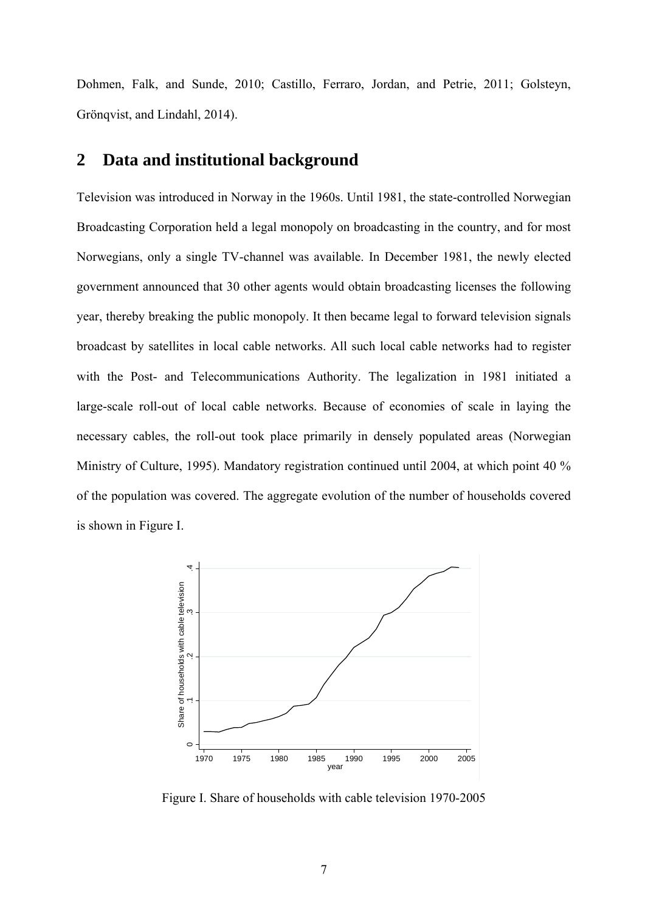Dohmen, Falk, and Sunde, 2010; Castillo, Ferraro, Jordan, and Petrie, 2011; Golsteyn, Grönqvist, and Lindahl, 2014).

### **2 Data and institutional background**

Television was introduced in Norway in the 1960s. Until 1981, the state-controlled Norwegian Broadcasting Corporation held a legal monopoly on broadcasting in the country, and for most Norwegians, only a single TV-channel was available. In December 1981, the newly elected government announced that 30 other agents would obtain broadcasting licenses the following year, thereby breaking the public monopoly. It then became legal to forward television signals broadcast by satellites in local cable networks. All such local cable networks had to register with the Post- and Telecommunications Authority. The legalization in 1981 initiated a large-scale roll-out of local cable networks. Because of economies of scale in laying the necessary cables, the roll-out took place primarily in densely populated areas (Norwegian Ministry of Culture, 1995). Mandatory registration continued until 2004, at which point 40 % of the population was covered. The aggregate evolution of the number of households covered is shown in Figure I.



Figure I. Share of households with cable television 1970-2005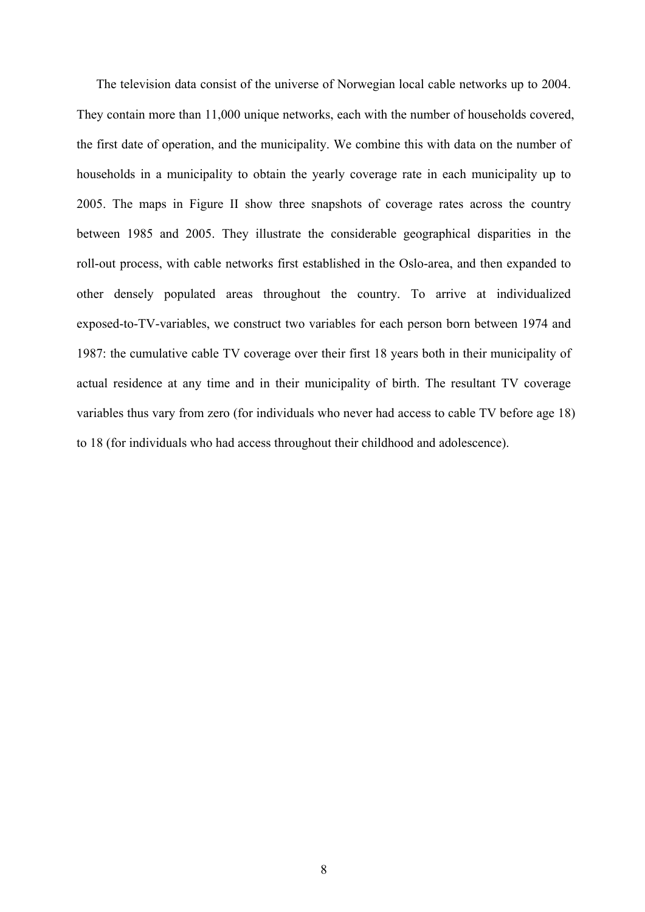The television data consist of the universe of Norwegian local cable networks up to 2004. They contain more than 11,000 unique networks, each with the number of households covered, the first date of operation, and the municipality. We combine this with data on the number of households in a municipality to obtain the yearly coverage rate in each municipality up to 2005. The maps in Figure II show three snapshots of coverage rates across the country between 1985 and 2005. They illustrate the considerable geographical disparities in the roll-out process, with cable networks first established in the Oslo-area, and then expanded to other densely populated areas throughout the country. To arrive at individualized exposed-to-TV-variables, we construct two variables for each person born between 1974 and 1987: the cumulative cable TV coverage over their first 18 years both in their municipality of actual residence at any time and in their municipality of birth. The resultant TV coverage variables thus vary from zero (for individuals who never had access to cable TV before age 18) to 18 (for individuals who had access throughout their childhood and adolescence).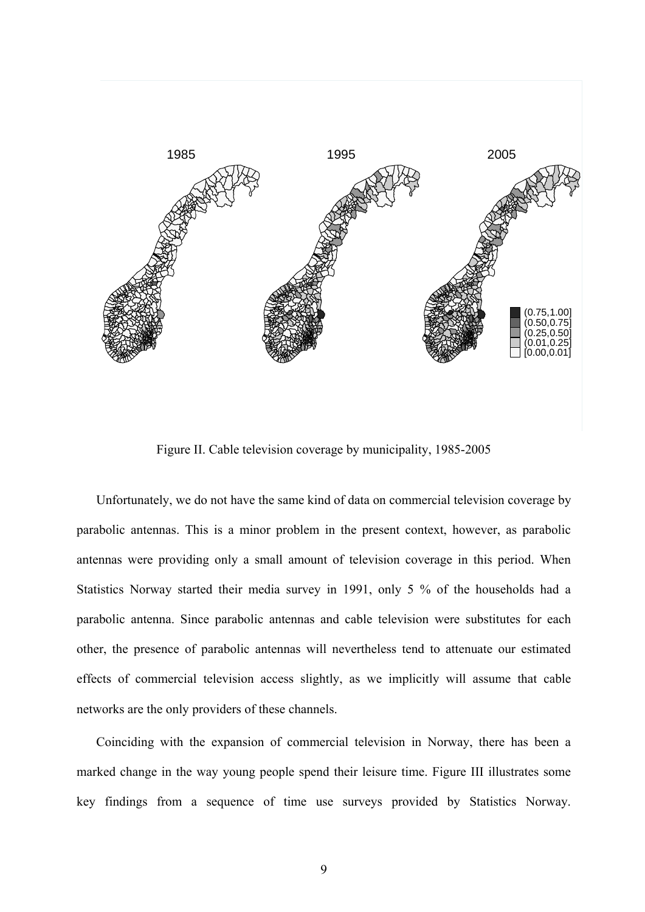

Figure II. Cable television coverage by municipality, 1985-2005

Unfortunately, we do not have the same kind of data on commercial television coverage by parabolic antennas. This is a minor problem in the present context, however, as parabolic antennas were providing only a small amount of television coverage in this period. When Statistics Norway started their media survey in 1991, only 5 % of the households had a parabolic antenna. Since parabolic antennas and cable television were substitutes for each other, the presence of parabolic antennas will nevertheless tend to attenuate our estimated effects of commercial television access slightly, as we implicitly will assume that cable networks are the only providers of these channels.

Coinciding with the expansion of commercial television in Norway, there has been a marked change in the way young people spend their leisure time. Figure III illustrates some key findings from a sequence of time use surveys provided by Statistics Norway.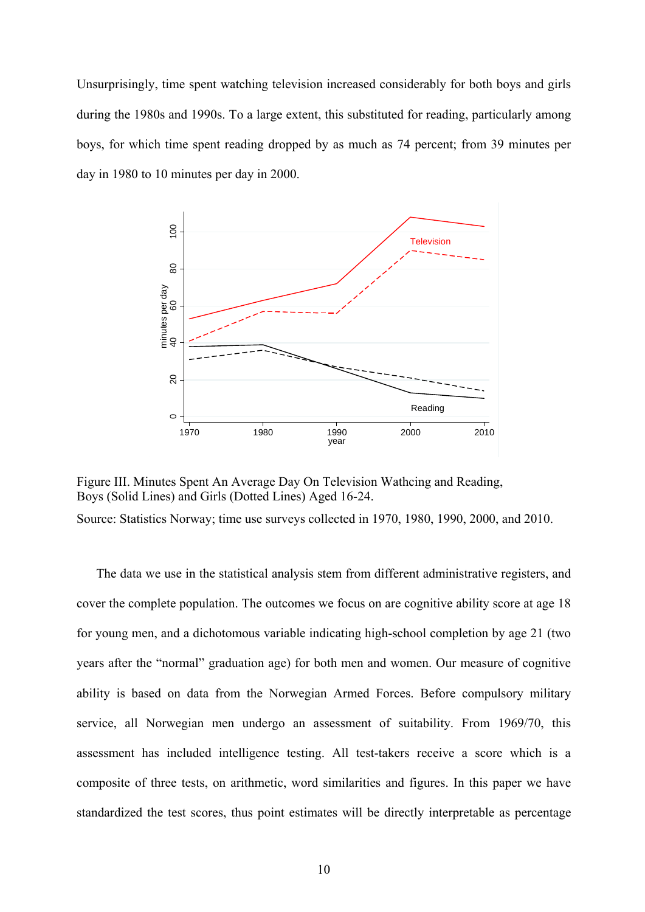Unsurprisingly, time spent watching television increased considerably for both boys and girls during the 1980s and 1990s. To a large extent, this substituted for reading, particularly among boys, for which time spent reading dropped by as much as 74 percent; from 39 minutes per day in 1980 to 10 minutes per day in 2000.



Figure III. Minutes Spent An Average Day On Television Wathcing and Reading, Boys (Solid Lines) and Girls (Dotted Lines) Aged 16-24.

Source: Statistics Norway; time use surveys collected in 1970, 1980, 1990, 2000, and 2010.

The data we use in the statistical analysis stem from different administrative registers, and cover the complete population. The outcomes we focus on are cognitive ability score at age 18 for young men, and a dichotomous variable indicating high-school completion by age 21 (two years after the "normal" graduation age) for both men and women. Our measure of cognitive ability is based on data from the Norwegian Armed Forces. Before compulsory military service, all Norwegian men undergo an assessment of suitability. From 1969/70, this assessment has included intelligence testing. All test-takers receive a score which is a composite of three tests, on arithmetic, word similarities and figures. In this paper we have standardized the test scores, thus point estimates will be directly interpretable as percentage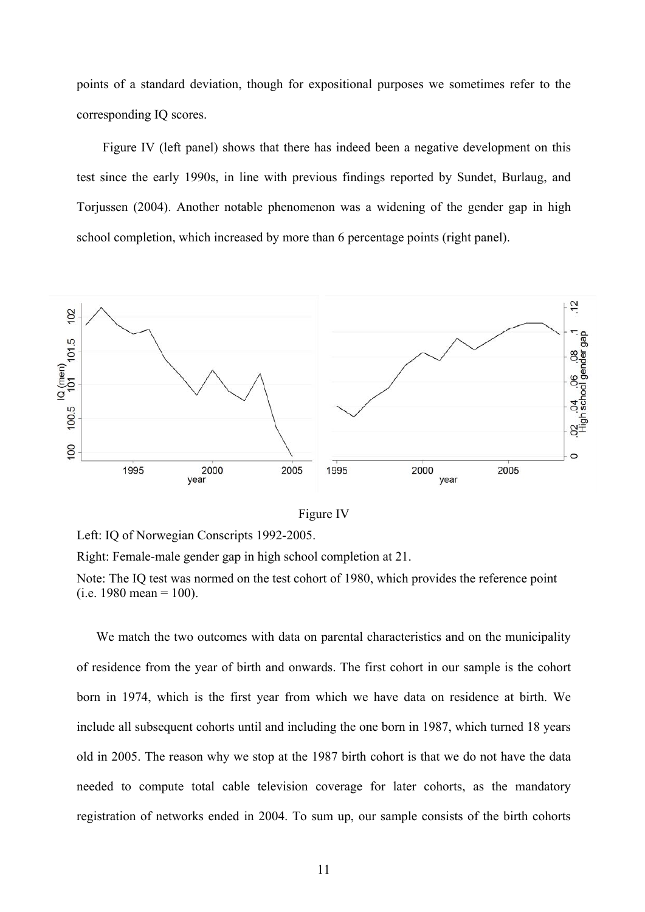points of a standard deviation, though for expositional purposes we sometimes refer to the corresponding IQ scores.

 Figure IV (left panel) shows that there has indeed been a negative development on this test since the early 1990s, in line with previous findings reported by Sundet, Burlaug, and Torjussen (2004). Another notable phenomenon was a widening of the gender gap in high school completion, which increased by more than 6 percentage points (right panel).



Figure IV

Left: IQ of Norwegian Conscripts 1992-2005.

Right: Female-male gender gap in high school completion at 21.

Note: The IQ test was normed on the test cohort of 1980, which provides the reference point  $(i.e. 1980$  mean = 100).

We match the two outcomes with data on parental characteristics and on the municipality of residence from the year of birth and onwards. The first cohort in our sample is the cohort born in 1974, which is the first year from which we have data on residence at birth. We include all subsequent cohorts until and including the one born in 1987, which turned 18 years old in 2005. The reason why we stop at the 1987 birth cohort is that we do not have the data needed to compute total cable television coverage for later cohorts, as the mandatory registration of networks ended in 2004. To sum up, our sample consists of the birth cohorts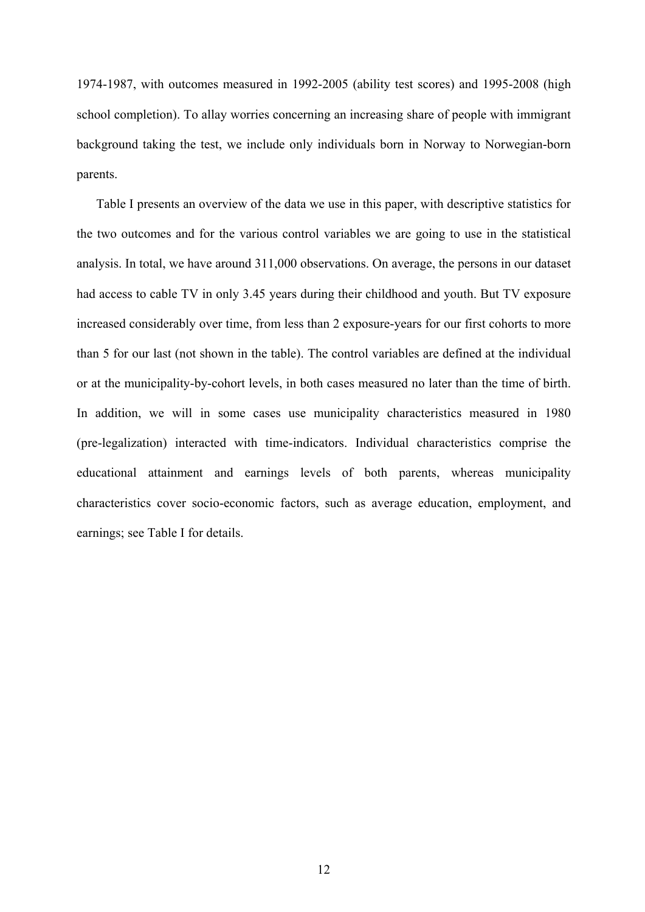1974-1987, with outcomes measured in 1992-2005 (ability test scores) and 1995-2008 (high school completion). To allay worries concerning an increasing share of people with immigrant background taking the test, we include only individuals born in Norway to Norwegian-born parents.

Table I presents an overview of the data we use in this paper, with descriptive statistics for the two outcomes and for the various control variables we are going to use in the statistical analysis. In total, we have around 311,000 observations. On average, the persons in our dataset had access to cable TV in only 3.45 years during their childhood and youth. But TV exposure increased considerably over time, from less than 2 exposure-years for our first cohorts to more than 5 for our last (not shown in the table). The control variables are defined at the individual or at the municipality-by-cohort levels, in both cases measured no later than the time of birth. In addition, we will in some cases use municipality characteristics measured in 1980 (pre-legalization) interacted with time-indicators. Individual characteristics comprise the educational attainment and earnings levels of both parents, whereas municipality characteristics cover socio-economic factors, such as average education, employment, and earnings; see Table I for details.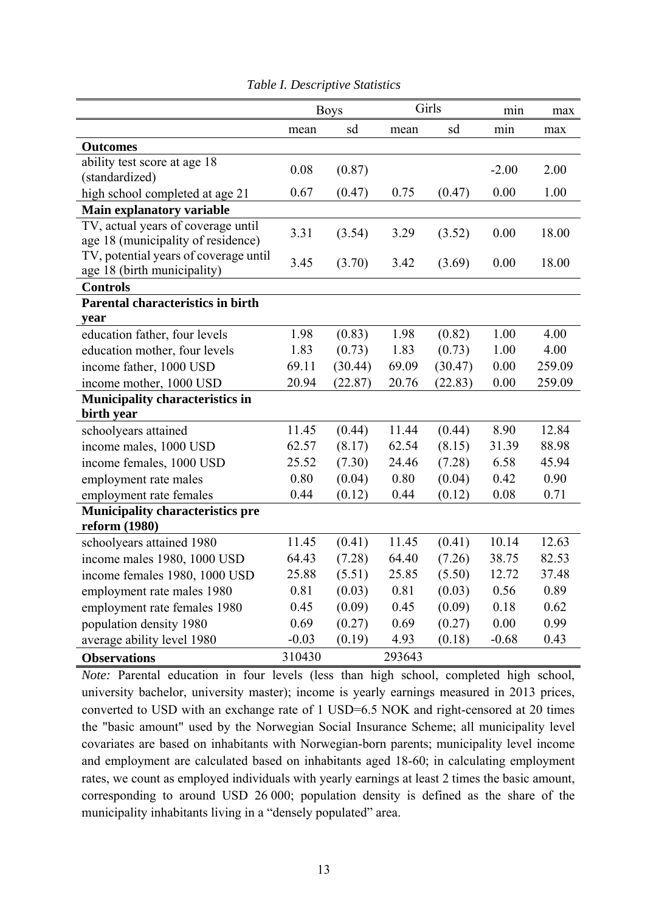|                                                                          | <b>Boys</b> |         | Girls  |         | min     | max    |
|--------------------------------------------------------------------------|-------------|---------|--------|---------|---------|--------|
|                                                                          | mean        | sd      | mean   | sd      | min     | max    |
| <b>Outcomes</b>                                                          |             |         |        |         |         |        |
| ability test score at age 18                                             | 0.08        | (0.87)  |        |         | $-2.00$ | 2.00   |
| (standardized)                                                           |             |         |        |         |         |        |
| high school completed at age 21                                          | 0.67        | (0.47)  | 0.75   | (0.47)  | 0.00    | 1.00   |
| Main explanatory variable                                                |             |         |        |         |         |        |
| TV, actual years of coverage until<br>age 18 (municipality of residence) | 3.31        | (3.54)  | 3.29   | (3.52)  | 0.00    | 18.00  |
| TV, potential years of coverage until<br>age 18 (birth municipality)     | 3.45        | (3.70)  | 3.42   | (3.69)  | 0.00    | 18.00  |
| <b>Controls</b>                                                          |             |         |        |         |         |        |
| <b>Parental characteristics in birth</b>                                 |             |         |        |         |         |        |
| year                                                                     |             |         |        |         |         |        |
| education father, four levels                                            | 1.98        | (0.83)  | 1.98   | (0.82)  | 1.00    | 4.00   |
| education mother, four levels                                            | 1.83        | (0.73)  | 1.83   | (0.73)  | 1.00    | 4.00   |
| income father, 1000 USD                                                  | 69.11       | (30.44) | 69.09  | (30.47) | 0.00    | 259.09 |
| income mother, 1000 USD                                                  | 20.94       | (22.87) | 20.76  | (22.83) | 0.00    | 259.09 |
| <b>Municipality characteristics in</b>                                   |             |         |        |         |         |        |
| birth year                                                               |             |         |        |         |         |        |
| schoolyears attained                                                     | 11.45       | (0.44)  | 11.44  | (0.44)  | 8.90    | 12.84  |
| income males, 1000 USD                                                   | 62.57       | (8.17)  | 62.54  | (8.15)  | 31.39   | 88.98  |
| income females, 1000 USD                                                 | 25.52       | (7.30)  | 24.46  | (7.28)  | 6.58    | 45.94  |
| employment rate males                                                    | 0.80        | (0.04)  | 0.80   | (0.04)  | 0.42    | 0.90   |
| employment rate females                                                  | 0.44        | (0.12)  | 0.44   | (0.12)  | 0.08    | 0.71   |
| <b>Municipality characteristics pre</b>                                  |             |         |        |         |         |        |
| reform (1980)                                                            |             |         |        |         |         |        |
| schoolyears attained 1980                                                | 11.45       | (0.41)  | 11.45  | (0.41)  | 10.14   | 12.63  |
| income males 1980, 1000 USD                                              | 64.43       | (7.28)  | 64.40  | (7.26)  | 38.75   | 82.53  |
| income females 1980, 1000 USD                                            | 25.88       | (5.51)  | 25.85  | (5.50)  | 12.72   | 37.48  |
| employment rate males 1980                                               | 0.81        | (0.03)  | 0.81   | (0.03)  | 0.56    | 0.89   |
| employment rate females 1980                                             | 0.45        | (0.09)  | 0.45   | (0.09)  | 0.18    | 0.62   |
| population density 1980                                                  | 0.69        | (0.27)  | 0.69   | (0.27)  | 0.00    | 0.99   |
| average ability level 1980                                               | $-0.03$     | (0.19)  | 4.93   | (0.18)  | $-0.68$ | 0.43   |
| <b>Observations</b>                                                      | 310430      |         | 293643 |         |         |        |

*Table I. Descriptive Statistics* 

*Note:* Parental education in four levels (less than high school, completed high school, university bachelor, university master); income is yearly earnings measured in 2013 prices, converted to USD with an exchange rate of 1 USD=6.5 NOK and right-censored at 20 times the "basic amount" used by the Norwegian Social Insurance Scheme; all municipality level covariates are based on inhabitants with Norwegian-born parents; municipality level income and employment are calculated based on inhabitants aged 18-60; in calculating employment rates, we count as employed individuals with yearly earnings at least 2 times the basic amount, corresponding to around USD 26 000; population density is defined as the share of the municipality inhabitants living in a "densely populated" area.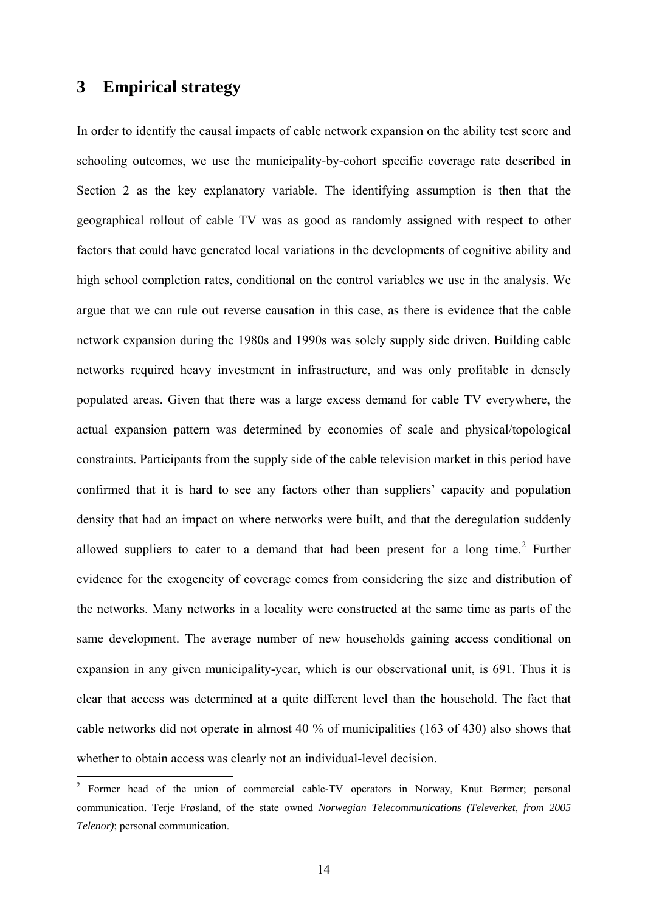### **3 Empirical strategy**

1

In order to identify the causal impacts of cable network expansion on the ability test score and schooling outcomes, we use the municipality-by-cohort specific coverage rate described in Section 2 as the key explanatory variable. The identifying assumption is then that the geographical rollout of cable TV was as good as randomly assigned with respect to other factors that could have generated local variations in the developments of cognitive ability and high school completion rates, conditional on the control variables we use in the analysis. We argue that we can rule out reverse causation in this case, as there is evidence that the cable network expansion during the 1980s and 1990s was solely supply side driven. Building cable networks required heavy investment in infrastructure, and was only profitable in densely populated areas. Given that there was a large excess demand for cable TV everywhere, the actual expansion pattern was determined by economies of scale and physical/topological constraints. Participants from the supply side of the cable television market in this period have confirmed that it is hard to see any factors other than suppliers' capacity and population density that had an impact on where networks were built, and that the deregulation suddenly allowed suppliers to cater to a demand that had been present for a long time.<sup>2</sup> Further evidence for the exogeneity of coverage comes from considering the size and distribution of the networks. Many networks in a locality were constructed at the same time as parts of the same development. The average number of new households gaining access conditional on expansion in any given municipality-year, which is our observational unit, is 691. Thus it is clear that access was determined at a quite different level than the household. The fact that cable networks did not operate in almost 40 % of municipalities (163 of 430) also shows that whether to obtain access was clearly not an individual-level decision.

<sup>&</sup>lt;sup>2</sup> Former head of the union of commercial cable-TV operators in Norway, Knut Børmer; personal communication. Terje Frøsland, of the state owned *Norwegian Telecommunications (Televerket, from 2005 Telenor)*; personal communication.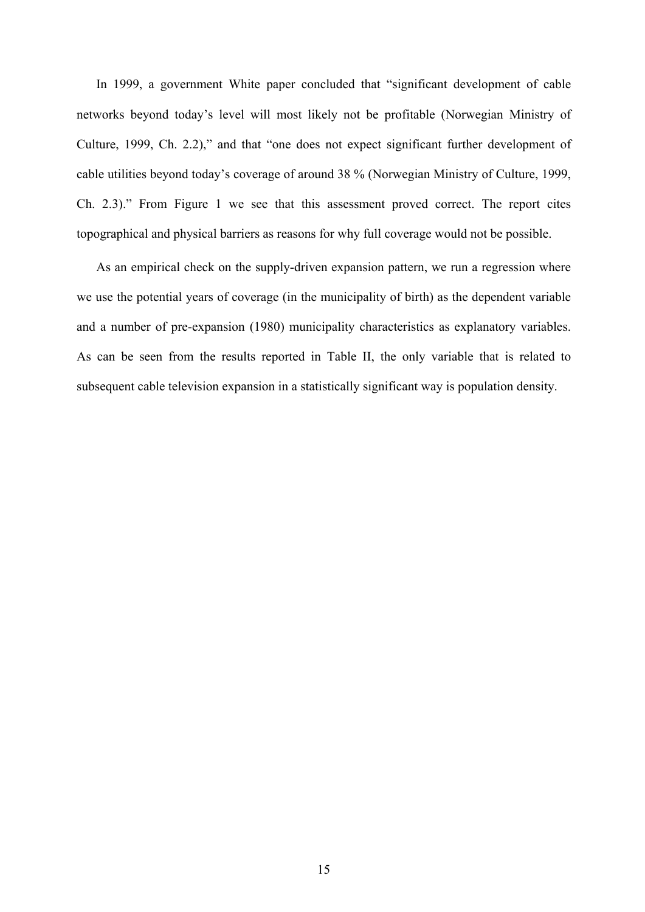In 1999, a government White paper concluded that "significant development of cable networks beyond today's level will most likely not be profitable (Norwegian Ministry of Culture, 1999, Ch. 2.2)," and that "one does not expect significant further development of cable utilities beyond today's coverage of around 38 % (Norwegian Ministry of Culture, 1999, Ch. 2.3)." From Figure 1 we see that this assessment proved correct. The report cites topographical and physical barriers as reasons for why full coverage would not be possible.

As an empirical check on the supply-driven expansion pattern, we run a regression where we use the potential years of coverage (in the municipality of birth) as the dependent variable and a number of pre-expansion (1980) municipality characteristics as explanatory variables. As can be seen from the results reported in Table II, the only variable that is related to subsequent cable television expansion in a statistically significant way is population density.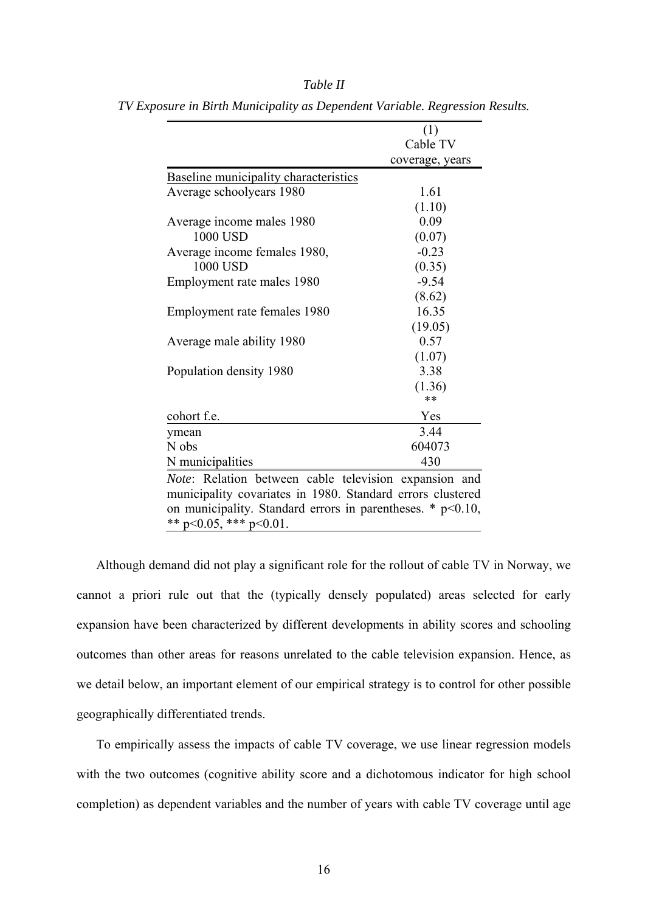|                                                              | (1)             |  |  |  |
|--------------------------------------------------------------|-----------------|--|--|--|
|                                                              | Cable TV        |  |  |  |
|                                                              | coverage, years |  |  |  |
| <b>Baseline municipality characteristics</b>                 |                 |  |  |  |
| Average schoolyears 1980                                     | 1.61            |  |  |  |
|                                                              | (1.10)          |  |  |  |
| Average income males 1980                                    | 0.09            |  |  |  |
| 1000 USD                                                     | (0.07)          |  |  |  |
| Average income females 1980,                                 | $-0.23$         |  |  |  |
| 1000 USD                                                     | (0.35)          |  |  |  |
| Employment rate males 1980                                   | $-9.54$         |  |  |  |
|                                                              | (8.62)          |  |  |  |
| Employment rate females 1980                                 | 16.35           |  |  |  |
|                                                              | (19.05)         |  |  |  |
| Average male ability 1980                                    | 0.57            |  |  |  |
|                                                              | (1.07)          |  |  |  |
| Population density 1980                                      | 3.38            |  |  |  |
|                                                              | (1.36)          |  |  |  |
|                                                              | **              |  |  |  |
| cohort f.e.                                                  | Yes             |  |  |  |
| ymean                                                        | 3.44            |  |  |  |
| N obs                                                        | 604073          |  |  |  |
| N municipalities                                             | 430             |  |  |  |
| <i>Note:</i> Relation between cable television expansion and |                 |  |  |  |
| municipality covariates in 1980. Standard errors clustered   |                 |  |  |  |
| on municipality. Standard errors in parentheses. $*$ p<0.10, |                 |  |  |  |
| ** $p<0.05$ , *** $p<0.01$ .                                 |                 |  |  |  |
|                                                              |                 |  |  |  |

*Table II TV Exposure in Birth Municipality as Dependent Variable. Regression Results.* 

Although demand did not play a significant role for the rollout of cable TV in Norway, we cannot a priori rule out that the (typically densely populated) areas selected for early expansion have been characterized by different developments in ability scores and schooling outcomes than other areas for reasons unrelated to the cable television expansion. Hence, as we detail below, an important element of our empirical strategy is to control for other possible geographically differentiated trends.

To empirically assess the impacts of cable TV coverage, we use linear regression models with the two outcomes (cognitive ability score and a dichotomous indicator for high school completion) as dependent variables and the number of years with cable TV coverage until age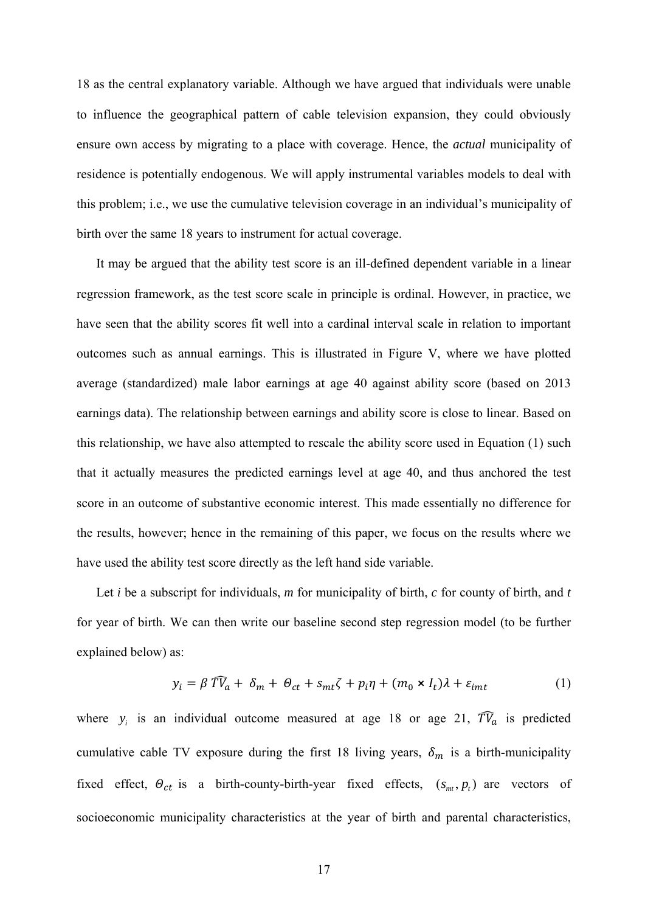18 as the central explanatory variable. Although we have argued that individuals were unable to influence the geographical pattern of cable television expansion, they could obviously ensure own access by migrating to a place with coverage. Hence, the *actual* municipality of residence is potentially endogenous. We will apply instrumental variables models to deal with this problem; i.e., we use the cumulative television coverage in an individual's municipality of birth over the same 18 years to instrument for actual coverage.

It may be argued that the ability test score is an ill-defined dependent variable in a linear regression framework, as the test score scale in principle is ordinal. However, in practice, we have seen that the ability scores fit well into a cardinal interval scale in relation to important outcomes such as annual earnings. This is illustrated in Figure V, where we have plotted average (standardized) male labor earnings at age 40 against ability score (based on 2013 earnings data). The relationship between earnings and ability score is close to linear. Based on this relationship, we have also attempted to rescale the ability score used in Equation (1) such that it actually measures the predicted earnings level at age 40, and thus anchored the test score in an outcome of substantive economic interest. This made essentially no difference for the results, however; hence in the remaining of this paper, we focus on the results where we have used the ability test score directly as the left hand side variable.

Let *i* be a subscript for individuals, *m* for municipality of birth, *c* for county of birth, and *t*  for year of birth. We can then write our baseline second step regression model (to be further explained below) as:

$$
y_i = \beta \widehat{T}V_a + \delta_m + \Theta_{ct} + s_{mt}\zeta + p_i\eta + (m_0 \times I_t)\lambda + \varepsilon_{imt}
$$
 (1)

where  $y_i$  is an individual outcome measured at age 18 or age 21,  $\widehat{TV}_a$  is predicted cumulative cable TV exposure during the first 18 living years,  $\delta_m$  is a birth-municipality fixed effect,  $\Theta_{ct}$  is a birth-county-birth-year fixed effects,  $(s_m, p_t)$  are vectors of socioeconomic municipality characteristics at the year of birth and parental characteristics,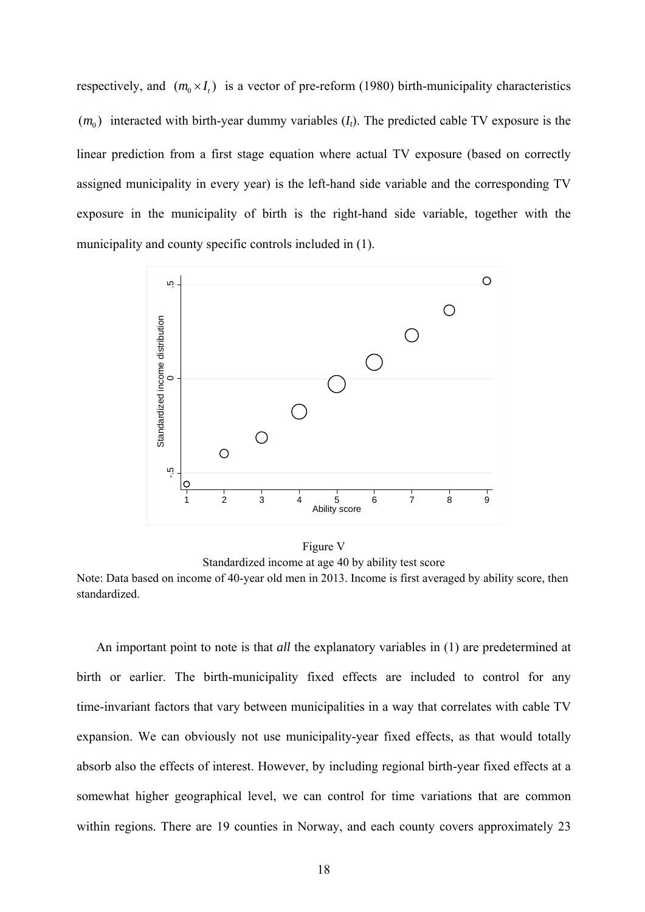respectively, and  $(m_0 \times I_t)$  is a vector of pre-reform (1980) birth-municipality characteristics  $(m_0)$  interacted with birth-year dummy variables  $(I_t)$ . The predicted cable TV exposure is the linear prediction from a first stage equation where actual TV exposure (based on correctly assigned municipality in every year) is the left-hand side variable and the corresponding TV exposure in the municipality of birth is the right-hand side variable, together with the municipality and county specific controls included in (1).



Figure V Standardized income at age 40 by ability test score

Note: Data based on income of 40-year old men in 2013. Income is first averaged by ability score, then standardized.

An important point to note is that *all* the explanatory variables in (1) are predetermined at birth or earlier. The birth-municipality fixed effects are included to control for any time-invariant factors that vary between municipalities in a way that correlates with cable TV expansion. We can obviously not use municipality-year fixed effects, as that would totally absorb also the effects of interest. However, by including regional birth-year fixed effects at a somewhat higher geographical level, we can control for time variations that are common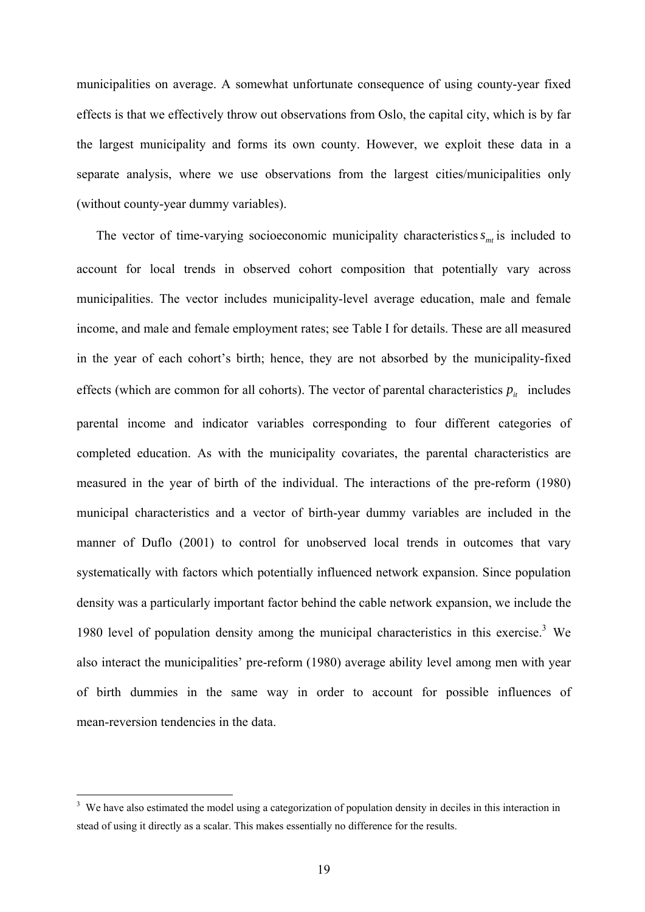municipalities on average. A somewhat unfortunate consequence of using county-year fixed effects is that we effectively throw out observations from Oslo, the capital city, which is by far the largest municipality and forms its own county. However, we exploit these data in a separate analysis, where we use observations from the largest cities/municipalities only (without county-year dummy variables).

The vector of time-varying socioeconomic municipality characteristics  $s_{m}$  is included to account for local trends in observed cohort composition that potentially vary across municipalities. The vector includes municipality-level average education, male and female income, and male and female employment rates; see Table I for details. These are all measured in the year of each cohort's birth; hence, they are not absorbed by the municipality-fixed effects (which are common for all cohorts). The vector of parental characteristics  $p_{i}$  includes parental income and indicator variables corresponding to four different categories of completed education. As with the municipality covariates, the parental characteristics are measured in the year of birth of the individual. The interactions of the pre-reform (1980) municipal characteristics and a vector of birth-year dummy variables are included in the manner of Duflo (2001) to control for unobserved local trends in outcomes that vary systematically with factors which potentially influenced network expansion. Since population density was a particularly important factor behind the cable network expansion, we include the 1980 level of population density among the municipal characteristics in this exercise.<sup>3</sup> We also interact the municipalities' pre-reform (1980) average ability level among men with year of birth dummies in the same way in order to account for possible influences of mean-reversion tendencies in the data.

<sup>&</sup>lt;sup>3</sup> We have also estimated the model using a categorization of population density in deciles in this interaction in stead of using it directly as a scalar. This makes essentially no difference for the results.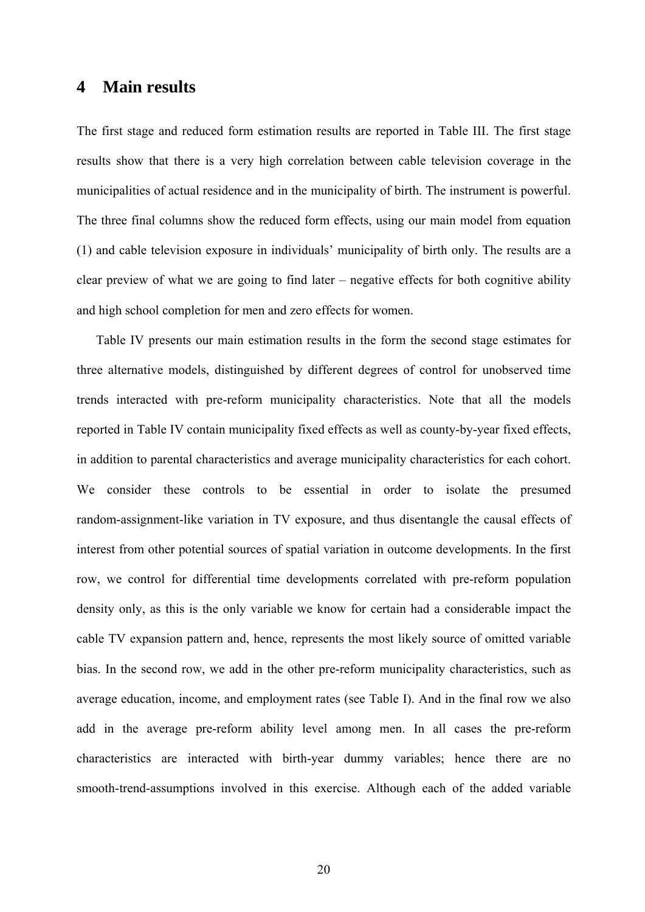### **4 Main results**

The first stage and reduced form estimation results are reported in Table III. The first stage results show that there is a very high correlation between cable television coverage in the municipalities of actual residence and in the municipality of birth. The instrument is powerful. The three final columns show the reduced form effects, using our main model from equation (1) and cable television exposure in individuals' municipality of birth only. The results are a clear preview of what we are going to find later – negative effects for both cognitive ability and high school completion for men and zero effects for women.

Table IV presents our main estimation results in the form the second stage estimates for three alternative models, distinguished by different degrees of control for unobserved time trends interacted with pre-reform municipality characteristics. Note that all the models reported in Table IV contain municipality fixed effects as well as county-by-year fixed effects, in addition to parental characteristics and average municipality characteristics for each cohort. We consider these controls to be essential in order to isolate the presumed random-assignment-like variation in TV exposure, and thus disentangle the causal effects of interest from other potential sources of spatial variation in outcome developments. In the first row, we control for differential time developments correlated with pre-reform population density only, as this is the only variable we know for certain had a considerable impact the cable TV expansion pattern and, hence, represents the most likely source of omitted variable bias. In the second row, we add in the other pre-reform municipality characteristics, such as average education, income, and employment rates (see Table I). And in the final row we also add in the average pre-reform ability level among men. In all cases the pre-reform characteristics are interacted with birth-year dummy variables; hence there are no smooth-trend-assumptions involved in this exercise. Although each of the added variable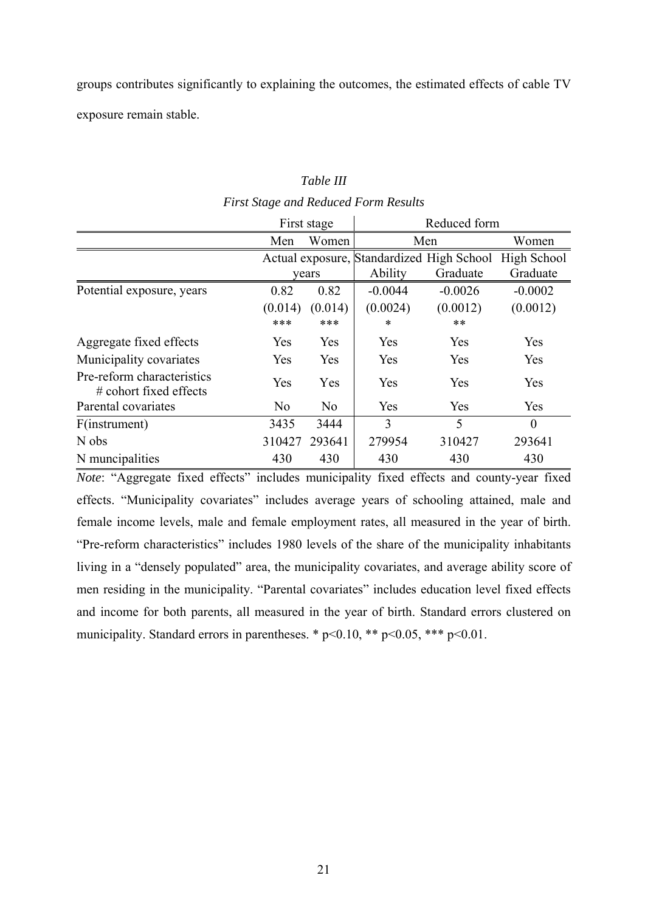groups contributes significantly to explaining the outcomes, the estimated effects of cable TV exposure remain stable.

#### *Table III*

#### *First Stage and Reduced Form Results*

|                                                         | First stage    |                | Reduced form                              |           |             |
|---------------------------------------------------------|----------------|----------------|-------------------------------------------|-----------|-------------|
|                                                         | Men            | Women          |                                           | Men       | Women       |
|                                                         |                |                | Actual exposure, Standardized High School |           | High School |
|                                                         |                | years          | Ability                                   | Graduate  | Graduate    |
| Potential exposure, years                               | 0.82           | 0.82           | $-0.0044$                                 | $-0.0026$ | $-0.0002$   |
|                                                         | (0.014)        | (0.014)        | (0.0024)                                  | (0.0012)  | (0.0012)    |
|                                                         | ***            | ***            | $\ast$                                    | $***$     |             |
| Aggregate fixed effects                                 | Yes            | Yes            | Yes                                       | Yes       | Yes         |
| Municipality covariates                                 | Yes            | Yes            | Yes                                       | Yes       | Yes         |
| Pre-reform characteristics<br>$\#$ cohort fixed effects | Yes            | Yes            | Yes                                       | Yes       | Yes         |
| Parental covariates                                     | N <sub>0</sub> | N <sub>0</sub> | Yes                                       | Yes       | Yes         |
| F(instrument)                                           | 3435           | 3444           | 3                                         | 5         | $\theta$    |
| N obs                                                   | 310427         | 293641         | 279954                                    | 310427    | 293641      |
| N muncipalities                                         | 430            | 430            | 430                                       | 430       | 430         |

*Note*: "Aggregate fixed effects" includes municipality fixed effects and county-year fixed effects. "Municipality covariates" includes average years of schooling attained, male and female income levels, male and female employment rates, all measured in the year of birth. "Pre-reform characteristics" includes 1980 levels of the share of the municipality inhabitants living in a "densely populated" area, the municipality covariates, and average ability score of men residing in the municipality. "Parental covariates" includes education level fixed effects and income for both parents, all measured in the year of birth. Standard errors clustered on municipality. Standard errors in parentheses. \*  $p<0.10$ , \*\*  $p<0.05$ , \*\*\*  $p<0.01$ .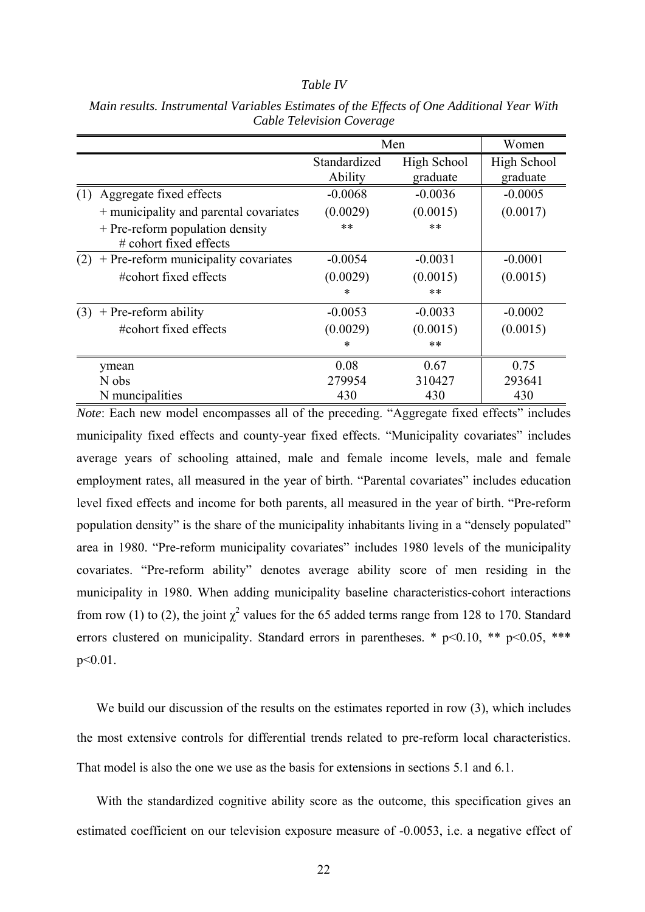#### *Table IV*

|                                                              |              | Men         |             |  |
|--------------------------------------------------------------|--------------|-------------|-------------|--|
|                                                              | Standardized | High School | High School |  |
|                                                              | Ability      | graduate    | graduate    |  |
| Aggregate fixed effects<br>(1)                               | $-0.0068$    | $-0.0036$   | $-0.0005$   |  |
| + municipality and parental covariates                       | (0.0029)     | (0.0015)    | (0.0017)    |  |
| + Pre-reform population density<br>$\#$ cohort fixed effects | $***$        | $**$        |             |  |
| + Pre-reform municipality covariates<br>(2)                  | $-0.0054$    | $-0.0031$   | $-0.0001$   |  |
| #cohort fixed effects                                        | (0.0029)     | (0.0015)    | (0.0015)    |  |
|                                                              | ∗            | $***$       |             |  |
| $+$ Pre-reform ability<br>(3)                                | $-0.0053$    | $-0.0033$   | $-0.0002$   |  |
| #cohort fixed effects                                        | (0.0029)     | (0.0015)    | (0.0015)    |  |
|                                                              | *            | $***$       |             |  |
| ymean                                                        | 0.08         | 0.67        | 0.75        |  |
| N obs                                                        | 279954       | 310427      | 293641      |  |
| N muncipalities                                              | 430          | 430         | 430         |  |

*Main results. Instrumental Variables Estimates of the Effects of One Additional Year With Cable Television Coverage* 

*Note*: Each new model encompasses all of the preceding. "Aggregate fixed effects" includes municipality fixed effects and county-year fixed effects. "Municipality covariates" includes average years of schooling attained, male and female income levels, male and female employment rates, all measured in the year of birth. "Parental covariates" includes education level fixed effects and income for both parents, all measured in the year of birth. "Pre-reform population density" is the share of the municipality inhabitants living in a "densely populated" area in 1980. "Pre-reform municipality covariates" includes 1980 levels of the municipality covariates. "Pre-reform ability" denotes average ability score of men residing in the municipality in 1980. When adding municipality baseline characteristics-cohort interactions from row (1) to (2), the joint  $\chi^2$  values for the 65 added terms range from 128 to 170. Standard errors clustered on municipality. Standard errors in parentheses. \*  $p<0.10$ , \*\*  $p<0.05$ , \*\*\* p<0.01.

We build our discussion of the results on the estimates reported in row (3), which includes the most extensive controls for differential trends related to pre-reform local characteristics. That model is also the one we use as the basis for extensions in sections 5.1 and 6.1.

With the standardized cognitive ability score as the outcome, this specification gives an estimated coefficient on our television exposure measure of -0.0053, i.e. a negative effect of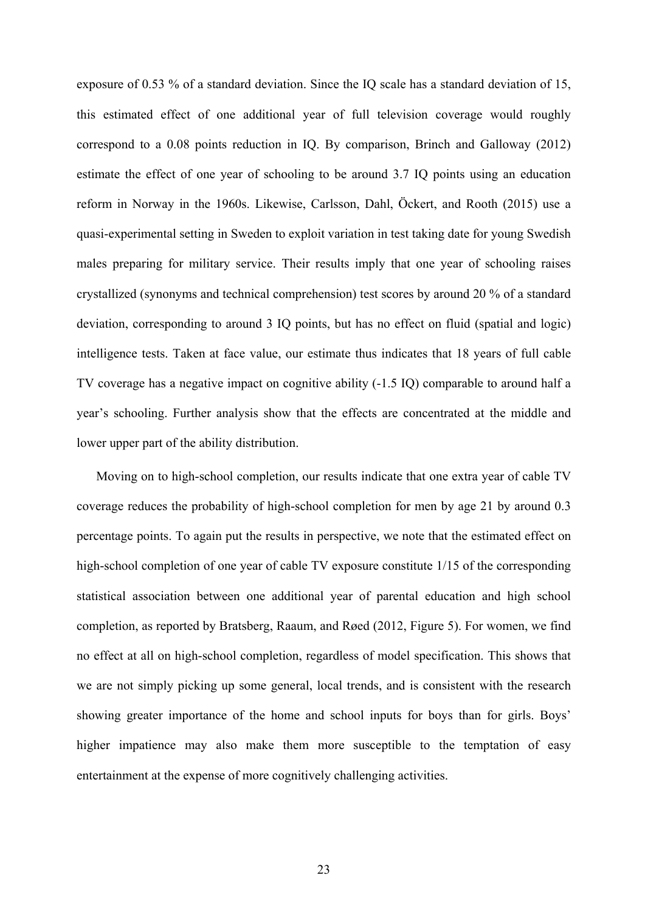exposure of 0.53 % of a standard deviation. Since the IQ scale has a standard deviation of 15, this estimated effect of one additional year of full television coverage would roughly correspond to a 0.08 points reduction in IQ. By comparison, Brinch and Galloway (2012) estimate the effect of one year of schooling to be around 3.7 IQ points using an education reform in Norway in the 1960s. Likewise, Carlsson, Dahl, Öckert, and Rooth (2015) use a quasi-experimental setting in Sweden to exploit variation in test taking date for young Swedish males preparing for military service. Their results imply that one year of schooling raises crystallized (synonyms and technical comprehension) test scores by around 20 % of a standard deviation, corresponding to around 3 IQ points, but has no effect on fluid (spatial and logic) intelligence tests. Taken at face value, our estimate thus indicates that 18 years of full cable TV coverage has a negative impact on cognitive ability (-1.5 IQ) comparable to around half a year's schooling. Further analysis show that the effects are concentrated at the middle and lower upper part of the ability distribution.

Moving on to high-school completion, our results indicate that one extra year of cable TV coverage reduces the probability of high-school completion for men by age 21 by around 0.3 percentage points. To again put the results in perspective, we note that the estimated effect on high-school completion of one year of cable TV exposure constitute  $1/15$  of the corresponding statistical association between one additional year of parental education and high school completion, as reported by Bratsberg, Raaum, and Røed (2012, Figure 5). For women, we find no effect at all on high-school completion, regardless of model specification. This shows that we are not simply picking up some general, local trends, and is consistent with the research showing greater importance of the home and school inputs for boys than for girls. Boys' higher impatience may also make them more susceptible to the temptation of easy entertainment at the expense of more cognitively challenging activities.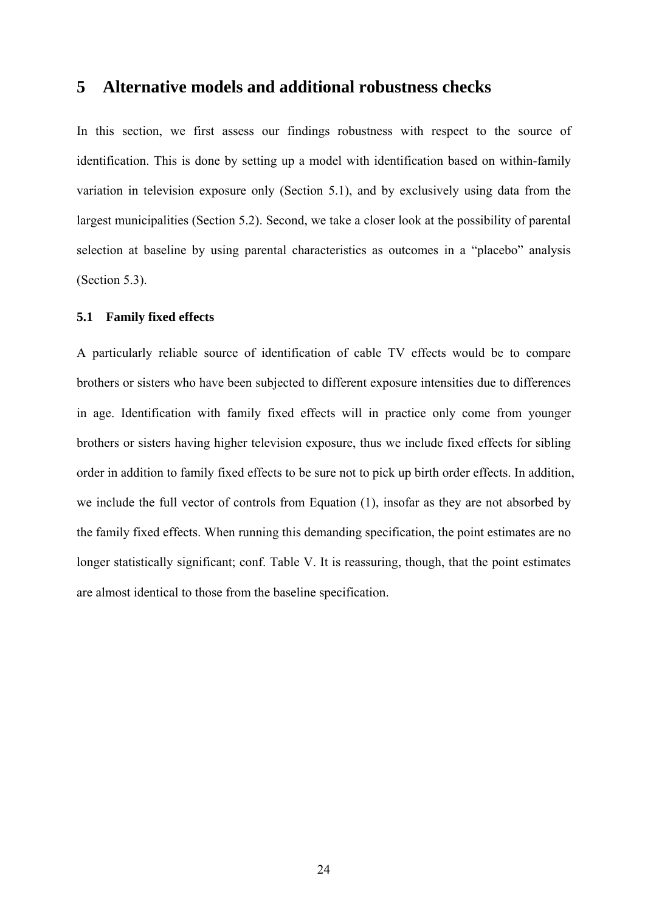### **5 Alternative models and additional robustness checks**

In this section, we first assess our findings robustness with respect to the source of identification. This is done by setting up a model with identification based on within-family variation in television exposure only (Section 5.1), and by exclusively using data from the largest municipalities (Section 5.2). Second, we take a closer look at the possibility of parental selection at baseline by using parental characteristics as outcomes in a "placebo" analysis (Section 5.3).

#### **5.1 Family fixed effects**

A particularly reliable source of identification of cable TV effects would be to compare brothers or sisters who have been subjected to different exposure intensities due to differences in age. Identification with family fixed effects will in practice only come from younger brothers or sisters having higher television exposure, thus we include fixed effects for sibling order in addition to family fixed effects to be sure not to pick up birth order effects. In addition, we include the full vector of controls from Equation (1), insofar as they are not absorbed by the family fixed effects. When running this demanding specification, the point estimates are no longer statistically significant; conf. Table V. It is reassuring, though, that the point estimates are almost identical to those from the baseline specification.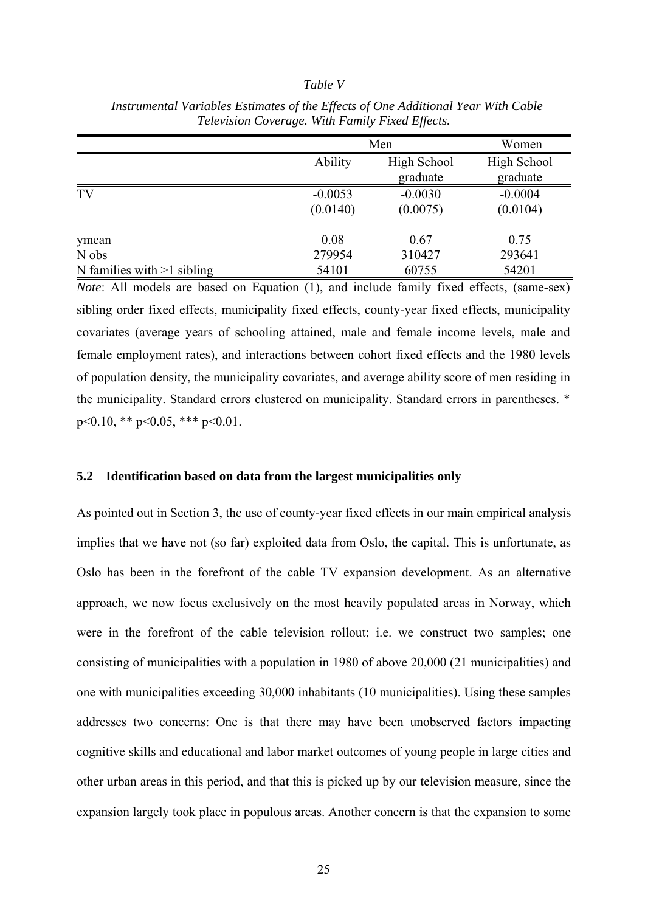#### *Table V*

|                              | Men       | Women       |           |
|------------------------------|-----------|-------------|-----------|
|                              | Ability   | High School |           |
|                              |           | graduate    | graduate  |
| TV                           | $-0.0053$ | $-0.0030$   | $-0.0004$ |
|                              | (0.0140)  | (0.0075)    | (0.0104)  |
| ymean                        | 0.08      | 0.67        | 0.75      |
| N obs                        | 279954    | 310427      | 293641    |
| N families with $>1$ sibling | 54101     | 60755       | 54201     |

 *Instrumental Variables Estimates of the Effects of One Additional Year With Cable Television Coverage. With Family Fixed Effects.* 

*Note*: All models are based on Equation (1), and include family fixed effects, (same-sex) sibling order fixed effects, municipality fixed effects, county-year fixed effects, municipality covariates (average years of schooling attained, male and female income levels, male and female employment rates), and interactions between cohort fixed effects and the 1980 levels of population density, the municipality covariates, and average ability score of men residing in the municipality. Standard errors clustered on municipality. Standard errors in parentheses. \* p<0.10, \*\* p<0.05, \*\*\* p<0.01.

#### **5.2 Identification based on data from the largest municipalities only**

As pointed out in Section 3, the use of county-year fixed effects in our main empirical analysis implies that we have not (so far) exploited data from Oslo, the capital. This is unfortunate, as Oslo has been in the forefront of the cable TV expansion development. As an alternative approach, we now focus exclusively on the most heavily populated areas in Norway, which were in the forefront of the cable television rollout; i.e. we construct two samples; one consisting of municipalities with a population in 1980 of above 20,000 (21 municipalities) and one with municipalities exceeding 30,000 inhabitants (10 municipalities). Using these samples addresses two concerns: One is that there may have been unobserved factors impacting cognitive skills and educational and labor market outcomes of young people in large cities and other urban areas in this period, and that this is picked up by our television measure, since the expansion largely took place in populous areas. Another concern is that the expansion to some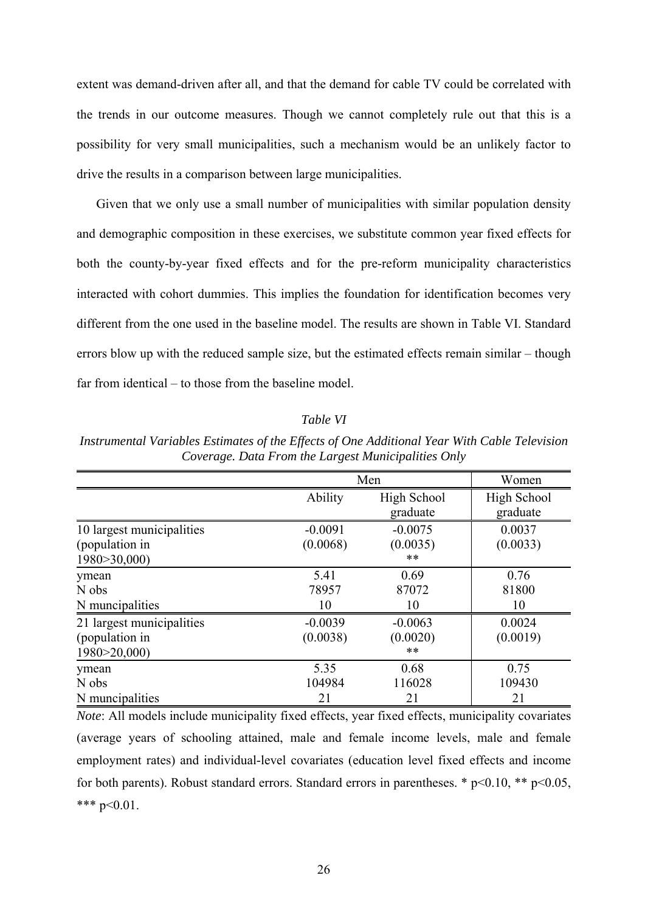extent was demand-driven after all, and that the demand for cable TV could be correlated with the trends in our outcome measures. Though we cannot completely rule out that this is a possibility for very small municipalities, such a mechanism would be an unlikely factor to drive the results in a comparison between large municipalities.

Given that we only use a small number of municipalities with similar population density and demographic composition in these exercises, we substitute common year fixed effects for both the county-by-year fixed effects and for the pre-reform municipality characteristics interacted with cohort dummies. This implies the foundation for identification becomes very different from the one used in the baseline model. The results are shown in Table VI. Standard errors blow up with the reduced sample size, but the estimated effects remain similar – though far from identical – to those from the baseline model

#### *Table VI*

Men Women Ability High School | High School graduate graduate graduate graduate graduate graduate graduate graduate graduate graduate graduate graduate graduate graduate graduate graduate graduate graduate graduate graduate graduate graduate graduate graduate gradua 10 largest municipalities -0.0091 -0.0075 0.0037 (population in (0.0068) (0.0035) (0.0033) 1980>30,000) \*\*\* ymean 5.41 0.69 0.76 N obs 31800 N muncipalities 10 10 10 10 21 largest municipalities -0.0039 -0.0063 0.0024 (population in  $(0.0038)$   $(0.0020)$   $(0.0019)$ 1980>20,000) \*\* ymean 5.35 0.68 0.75 N obs 104984 116028 109430 N muncipalities 21 21 21 21

*Instrumental Variables Estimates of the Effects of One Additional Year With Cable Television Coverage. Data From the Largest Municipalities Only* 

*Note*: All models include municipality fixed effects, year fixed effects, municipality covariates (average years of schooling attained, male and female income levels, male and female employment rates) and individual-level covariates (education level fixed effects and income for both parents). Robust standard errors. Standard errors in parentheses. \*  $p<0.10$ , \*\*  $p<0.05$ , \*\*\*  $p<0.01$ .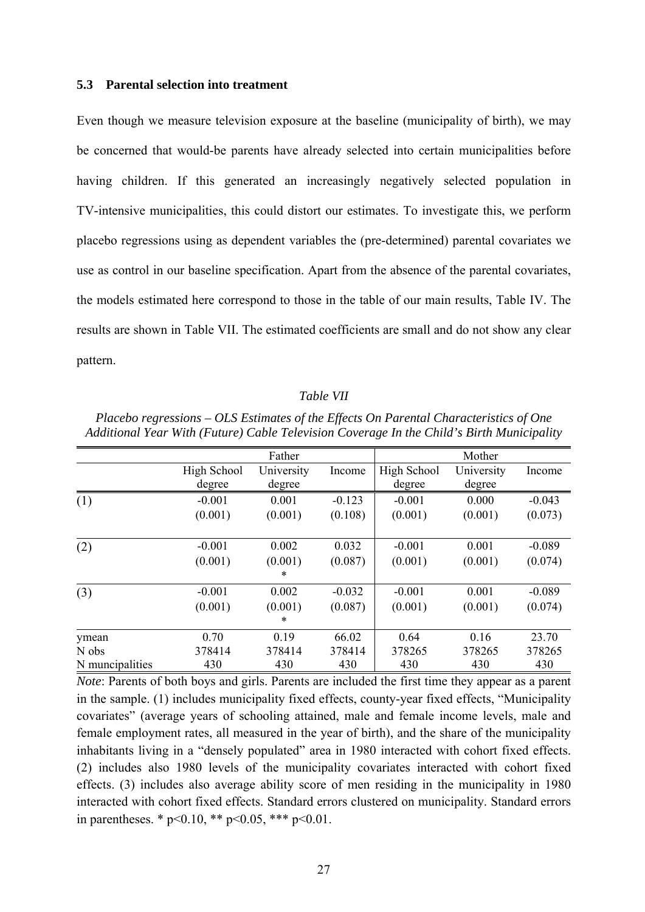#### **5.3 Parental selection into treatment**

Even though we measure television exposure at the baseline (municipality of birth), we may be concerned that would-be parents have already selected into certain municipalities before having children. If this generated an increasingly negatively selected population in TV-intensive municipalities, this could distort our estimates. To investigate this, we perform placebo regressions using as dependent variables the (pre-determined) parental covariates we use as control in our baseline specification. Apart from the absence of the parental covariates, the models estimated here correspond to those in the table of our main results, Table IV. The results are shown in Table VII. The estimated coefficients are small and do not show any clear pattern.

#### *Table VII*

| Additional Year With (Future) Cable Television Coverage In the Child's Birth Municipality |             |              |          |             |            |          |
|-------------------------------------------------------------------------------------------|-------------|--------------|----------|-------------|------------|----------|
|                                                                                           |             | Father       |          |             | Mother     |          |
|                                                                                           | High School | University   | Income   | High School | University | Income   |
|                                                                                           | degree      | degree       |          | degree      | degree     |          |
| (1)                                                                                       | $-0.001$    | 0.001        | $-0.123$ | $-0.001$    | 0.000      | $-0.043$ |
|                                                                                           | (0.001)     | (0.001)      | (0.108)  | (0.001)     | (0.001)    | (0.073)  |
| (2)                                                                                       | $-0.001$    | 0.002        | 0.032    | $-0.001$    | 0.001      | $-0.089$ |
|                                                                                           | (0.001)     | (0.001)<br>* | (0.087)  | (0.001)     | (0.001)    | (0.074)  |
|                                                                                           |             |              |          |             |            |          |
| (3)                                                                                       | $-0.001$    | 0.002        | $-0.032$ | $-0.001$    | 0.001      | $-0.089$ |
|                                                                                           | (0.001)     | (0.001)      | (0.087)  | (0.001)     | (0.001)    | (0.074)  |
|                                                                                           |             | *            |          |             |            |          |
| ymean                                                                                     | 0.70        | 0.19         | 66.02    | 0.64        | 0.16       | 23.70    |
| N obs                                                                                     | 378414      | 378414       | 378414   | 378265      | 378265     | 378265   |
| N muncipalities                                                                           | 430         | 430          | 430      | 430         | 430        | 430      |

*Placebo regressions – OLS Estimates of the Effects On Parental Characteristics of One Additional Year With (Future) Cable Television Coverage In the Child's Birth Municipality* 

*Note*: Parents of both boys and girls. Parents are included the first time they appear as a parent in the sample. (1) includes municipality fixed effects, county-year fixed effects, "Municipality covariates" (average years of schooling attained, male and female income levels, male and female employment rates, all measured in the year of birth), and the share of the municipality inhabitants living in a "densely populated" area in 1980 interacted with cohort fixed effects. (2) includes also 1980 levels of the municipality covariates interacted with cohort fixed effects. (3) includes also average ability score of men residing in the municipality in 1980 interacted with cohort fixed effects. Standard errors clustered on municipality. Standard errors in parentheses. \*  $p<0.10$ , \*\*  $p<0.05$ , \*\*\*  $p<0.01$ .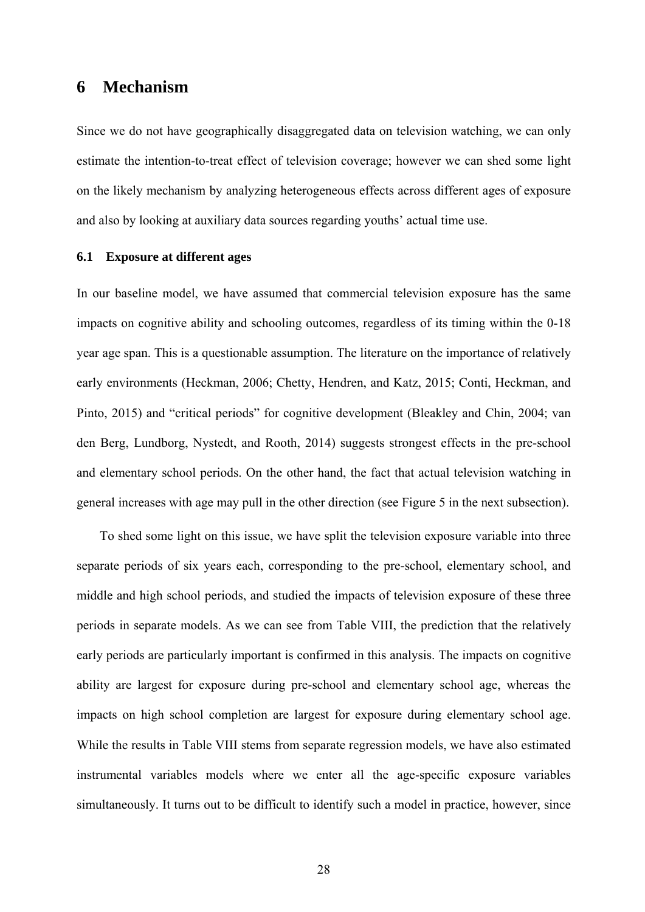### **6 Mechanism**

Since we do not have geographically disaggregated data on television watching, we can only estimate the intention-to-treat effect of television coverage; however we can shed some light on the likely mechanism by analyzing heterogeneous effects across different ages of exposure and also by looking at auxiliary data sources regarding youths' actual time use.

#### **6.1 Exposure at different ages**

In our baseline model, we have assumed that commercial television exposure has the same impacts on cognitive ability and schooling outcomes, regardless of its timing within the 0-18 year age span. This is a questionable assumption. The literature on the importance of relatively early environments (Heckman, 2006; Chetty, Hendren, and Katz, 2015; Conti, Heckman, and Pinto, 2015) and "critical periods" for cognitive development (Bleakley and Chin, 2004; van den Berg, Lundborg, Nystedt, and Rooth, 2014) suggests strongest effects in the pre-school and elementary school periods. On the other hand, the fact that actual television watching in general increases with age may pull in the other direction (see Figure 5 in the next subsection).

To shed some light on this issue, we have split the television exposure variable into three separate periods of six years each, corresponding to the pre-school, elementary school, and middle and high school periods, and studied the impacts of television exposure of these three periods in separate models. As we can see from Table VIII, the prediction that the relatively early periods are particularly important is confirmed in this analysis. The impacts on cognitive ability are largest for exposure during pre-school and elementary school age, whereas the impacts on high school completion are largest for exposure during elementary school age. While the results in Table VIII stems from separate regression models, we have also estimated instrumental variables models where we enter all the age-specific exposure variables simultaneously. It turns out to be difficult to identify such a model in practice, however, since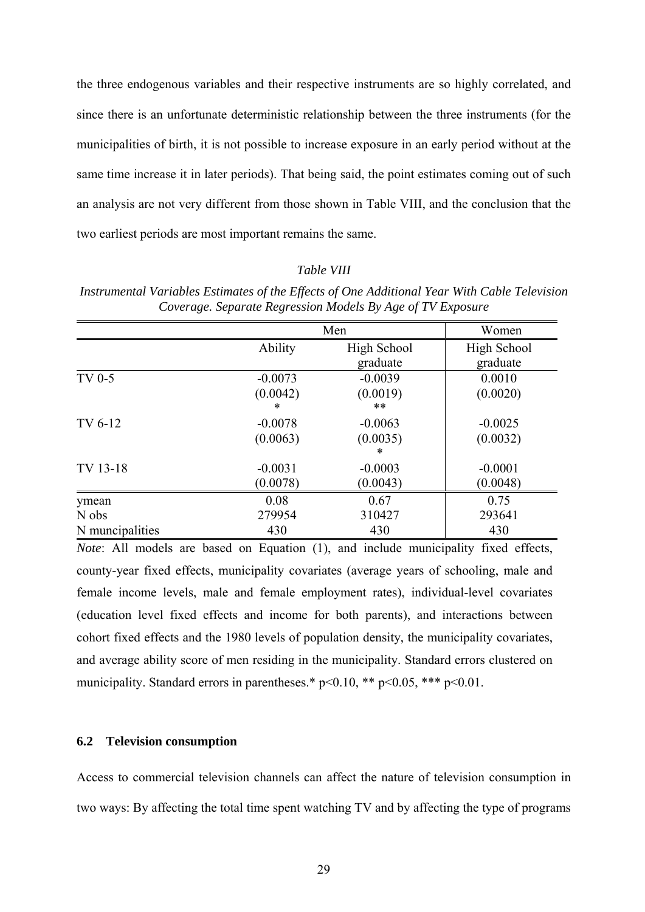the three endogenous variables and their respective instruments are so highly correlated, and since there is an unfortunate deterministic relationship between the three instruments (for the municipalities of birth, it is not possible to increase exposure in an early period without at the same time increase it in later periods). That being said, the point estimates coming out of such an analysis are not very different from those shown in Table VIII, and the conclusion that the two earliest periods are most important remains the same.

#### *Table VIII*

|                 |           | Men         |             |  |
|-----------------|-----------|-------------|-------------|--|
|                 | Ability   | High School | High School |  |
|                 |           | graduate    | graduate    |  |
| TV 0-5          | $-0.0073$ | $-0.0039$   | 0.0010      |  |
|                 | (0.0042)  | (0.0019)    | (0.0020)    |  |
|                 | $\ast$    | $***$       |             |  |
| TV 6-12         | $-0.0078$ | $-0.0063$   | $-0.0025$   |  |
|                 | (0.0063)  | (0.0035)    | (0.0032)    |  |
|                 |           | $\ast$      |             |  |
| TV 13-18        | $-0.0031$ | $-0.0003$   | $-0.0001$   |  |
|                 | (0.0078)  | (0.0043)    | (0.0048)    |  |
| ymean           | 0.08      | 0.67        | 0.75        |  |
| N obs           | 279954    | 310427      | 293641      |  |
| N muncipalities | 430       | 430         | 430         |  |

*Instrumental Variables Estimates of the Effects of One Additional Year With Cable Television Coverage. Separate Regression Models By Age of TV Exposure* 

*Note*: All models are based on Equation (1), and include municipality fixed effects, county-year fixed effects, municipality covariates (average years of schooling, male and female income levels, male and female employment rates), individual-level covariates (education level fixed effects and income for both parents), and interactions between cohort fixed effects and the 1980 levels of population density, the municipality covariates, and average ability score of men residing in the municipality. Standard errors clustered on municipality. Standard errors in parentheses.\*  $p<0.10$ , \*\*  $p<0.05$ , \*\*\*  $p<0.01$ .

#### **6.2 Television consumption**

Access to commercial television channels can affect the nature of television consumption in two ways: By affecting the total time spent watching TV and by affecting the type of programs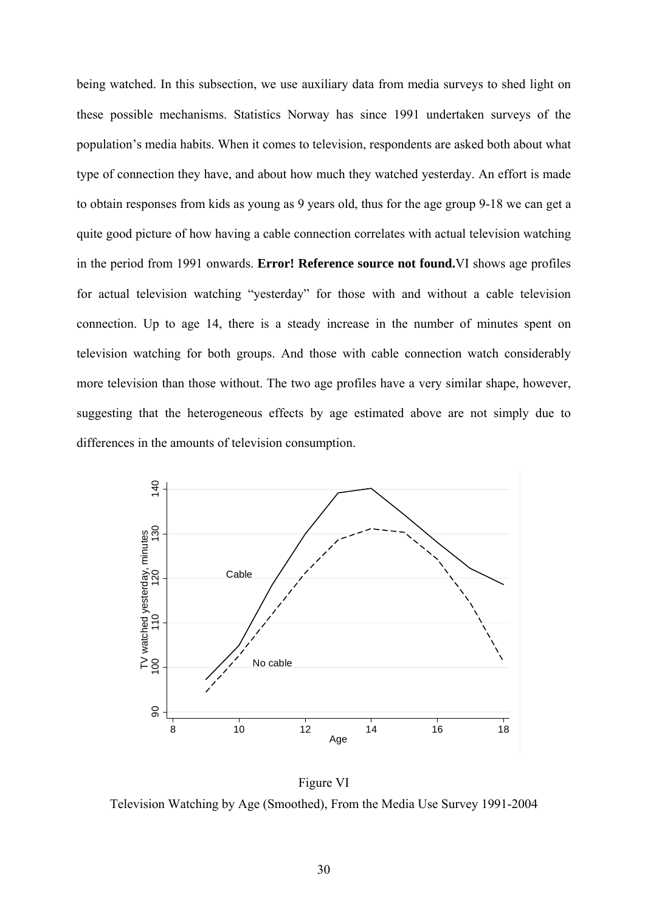being watched. In this subsection, we use auxiliary data from media surveys to shed light on these possible mechanisms. Statistics Norway has since 1991 undertaken surveys of the population's media habits. When it comes to television, respondents are asked both about what type of connection they have, and about how much they watched yesterday. An effort is made to obtain responses from kids as young as 9 years old, thus for the age group 9-18 we can get a quite good picture of how having a cable connection correlates with actual television watching in the period from 1991 onwards. **Error! Reference source not found.**VI shows age profiles for actual television watching "yesterday" for those with and without a cable television connection. Up to age 14, there is a steady increase in the number of minutes spent on television watching for both groups. And those with cable connection watch considerably more television than those without. The two age profiles have a very similar shape, however, suggesting that the heterogeneous effects by age estimated above are not simply due to differences in the amounts of television consumption.



Figure VI Television Watching by Age (Smoothed), From the Media Use Survey 1991-2004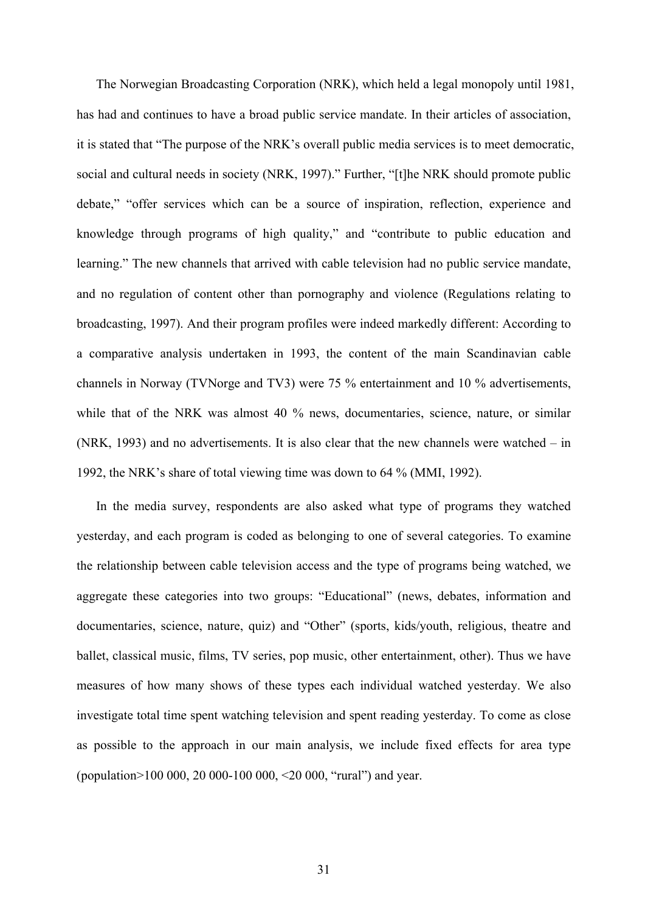The Norwegian Broadcasting Corporation (NRK), which held a legal monopoly until 1981, has had and continues to have a broad public service mandate. In their articles of association, it is stated that "The purpose of the NRK's overall public media services is to meet democratic, social and cultural needs in society (NRK, 1997)." Further, "[t]he NRK should promote public debate," "offer services which can be a source of inspiration, reflection, experience and knowledge through programs of high quality," and "contribute to public education and learning." The new channels that arrived with cable television had no public service mandate, and no regulation of content other than pornography and violence (Regulations relating to broadcasting, 1997). And their program profiles were indeed markedly different: According to a comparative analysis undertaken in 1993, the content of the main Scandinavian cable channels in Norway (TVNorge and TV3) were 75 % entertainment and 10 % advertisements, while that of the NRK was almost 40 % news, documentaries, science, nature, or similar (NRK, 1993) and no advertisements. It is also clear that the new channels were watched – in 1992, the NRK's share of total viewing time was down to 64 % (MMI, 1992).

In the media survey, respondents are also asked what type of programs they watched yesterday, and each program is coded as belonging to one of several categories. To examine the relationship between cable television access and the type of programs being watched, we aggregate these categories into two groups: "Educational" (news, debates, information and documentaries, science, nature, quiz) and "Other" (sports, kids/youth, religious, theatre and ballet, classical music, films, TV series, pop music, other entertainment, other). Thus we have measures of how many shows of these types each individual watched yesterday. We also investigate total time spent watching television and spent reading yesterday. To come as close as possible to the approach in our main analysis, we include fixed effects for area type (population>100 000, 20 000-100 000, <20 000, "rural") and year.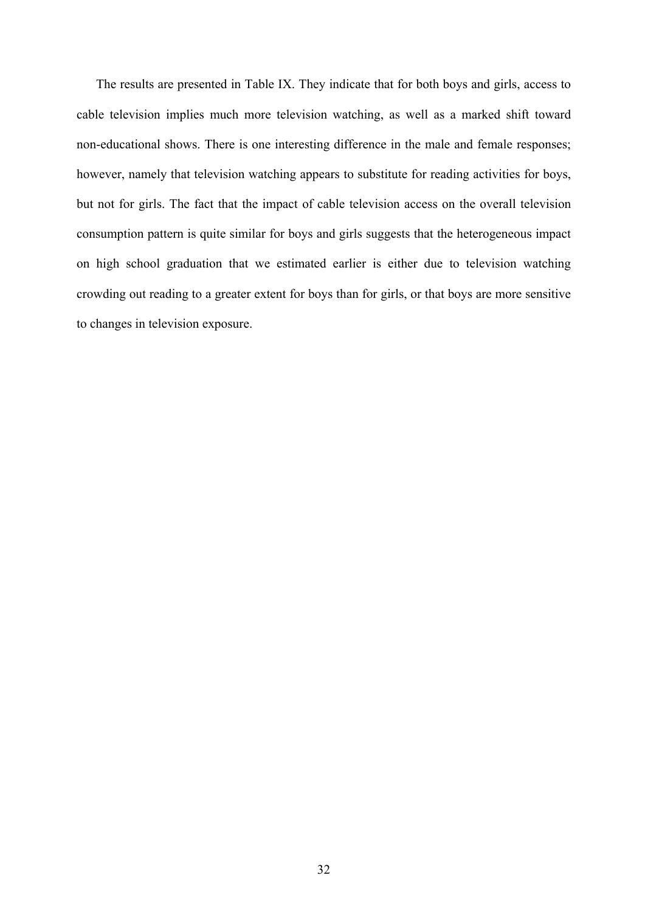The results are presented in Table IX. They indicate that for both boys and girls, access to cable television implies much more television watching, as well as a marked shift toward non-educational shows. There is one interesting difference in the male and female responses; however, namely that television watching appears to substitute for reading activities for boys, but not for girls. The fact that the impact of cable television access on the overall television consumption pattern is quite similar for boys and girls suggests that the heterogeneous impact on high school graduation that we estimated earlier is either due to television watching crowding out reading to a greater extent for boys than for girls, or that boys are more sensitive to changes in television exposure.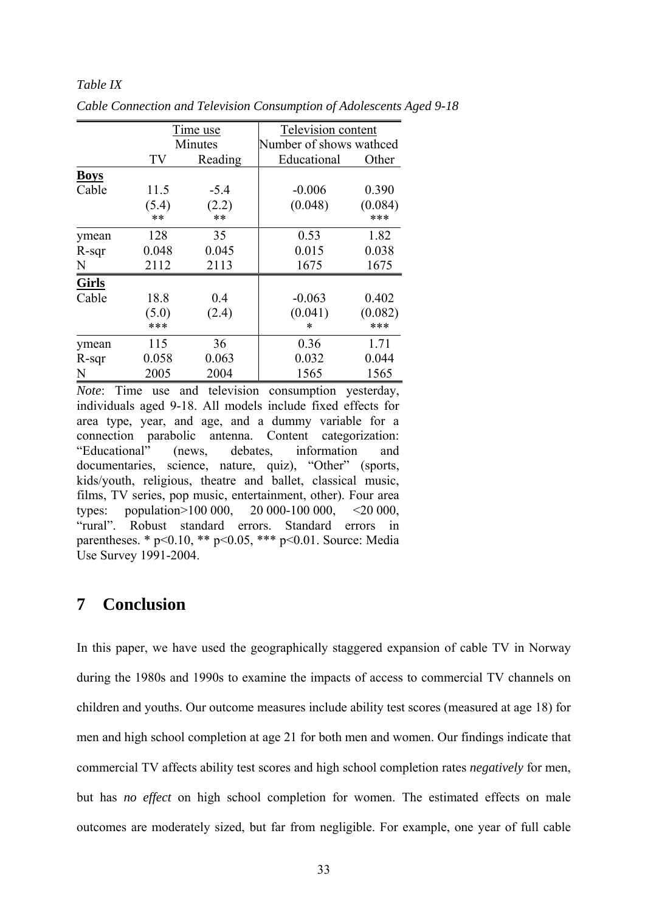#### *Table IX*

|              |             | Time use       | Television content |                         |  |  |
|--------------|-------------|----------------|--------------------|-------------------------|--|--|
|              |             | <b>Minutes</b> |                    | Number of shows wathced |  |  |
|              | TV          | Reading        | Educational        | Other                   |  |  |
| <b>Boys</b>  |             |                |                    |                         |  |  |
| Cable        | 11.5        | $-5.4$         | $-0.006$           | 0.390                   |  |  |
|              | (5.4)<br>** | (2.2)<br>$***$ | (0.048)            | (0.084)<br>***          |  |  |
| ymean        | 128         | 35             | 0.53               | 1.82                    |  |  |
| $R$ -sqr     | 0.048       | 0.045          | 0.015              | 0.038                   |  |  |
| N            | 2112        | 2113           | 1675               | 1675                    |  |  |
| <b>Girls</b> |             |                |                    |                         |  |  |
| Cable        | 18.8        | 0.4            | $-0.063$           | 0.402                   |  |  |
|              | (5.0)       | (2.4)          | (0.041)            | (0.082)                 |  |  |
|              | ***         |                | $\ast$             | ***                     |  |  |
| ymean        | 115         | 36             | 0.36               | 1.71                    |  |  |
| $R$ -sqr     | 0.058       | 0.063          | 0.032              | 0.044                   |  |  |
| N            | 2005        | 2004           | 1565               | 1565                    |  |  |

*Cable Connection and Television Consumption of Adolescents Aged 9-18* 

*Note*: Time use and television consumption yesterday, individuals aged 9-18. All models include fixed effects for area type, year, and age, and a dummy variable for a connection parabolic antenna. Content categorization: "Educational" (news, debates, information and documentaries, science, nature, quiz), "Other" (sports, kids/youth, religious, theatre and ballet, classical music, films, TV series, pop music, entertainment, other). Four area types: population>100 000, 20 000-100 000, <20 000, "rural". Robust standard errors. Standard errors in parentheses. \*  $p<0.10$ , \*\*  $p<0.05$ , \*\*\*  $p<0.01$ . Source: Media Use Survey 1991-2004.

### **7 Conclusion**

In this paper, we have used the geographically staggered expansion of cable TV in Norway during the 1980s and 1990s to examine the impacts of access to commercial TV channels on children and youths. Our outcome measures include ability test scores (measured at age 18) for men and high school completion at age 21 for both men and women. Our findings indicate that commercial TV affects ability test scores and high school completion rates *negatively* for men, but has *no effect* on high school completion for women. The estimated effects on male outcomes are moderately sized, but far from negligible. For example, one year of full cable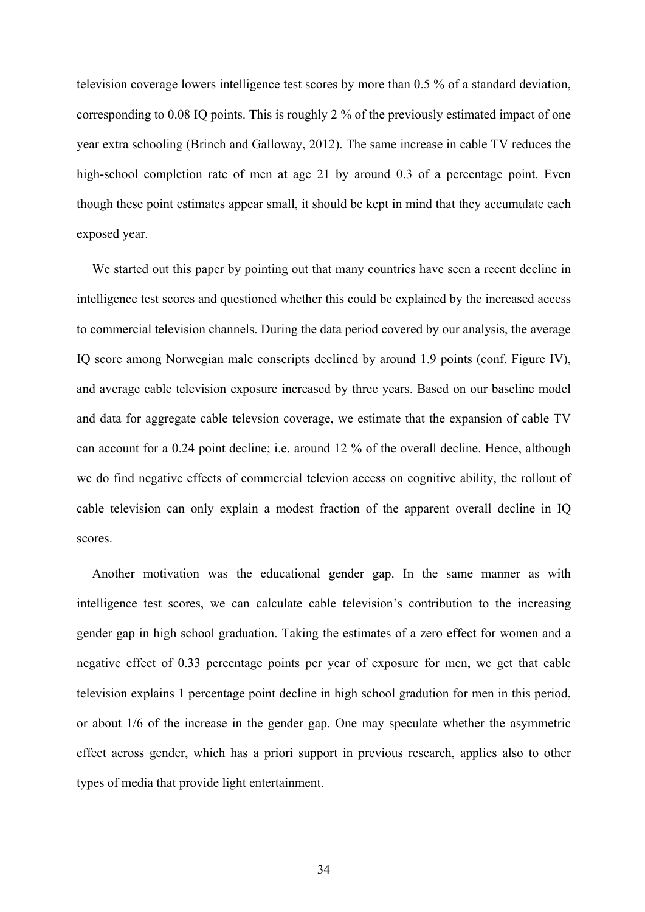television coverage lowers intelligence test scores by more than 0.5 % of a standard deviation, corresponding to 0.08 IQ points. This is roughly 2 % of the previously estimated impact of one year extra schooling (Brinch and Galloway, 2012). The same increase in cable TV reduces the high-school completion rate of men at age 21 by around 0.3 of a percentage point. Even though these point estimates appear small, it should be kept in mind that they accumulate each exposed year.

We started out this paper by pointing out that many countries have seen a recent decline in intelligence test scores and questioned whether this could be explained by the increased access to commercial television channels. During the data period covered by our analysis, the average IQ score among Norwegian male conscripts declined by around 1.9 points (conf. Figure IV), and average cable television exposure increased by three years. Based on our baseline model and data for aggregate cable televsion coverage, we estimate that the expansion of cable TV can account for a 0.24 point decline; i.e. around 12 % of the overall decline. Hence, although we do find negative effects of commercial televion access on cognitive ability, the rollout of cable television can only explain a modest fraction of the apparent overall decline in IQ scores.

Another motivation was the educational gender gap. In the same manner as with intelligence test scores, we can calculate cable television's contribution to the increasing gender gap in high school graduation. Taking the estimates of a zero effect for women and a negative effect of 0.33 percentage points per year of exposure for men, we get that cable television explains 1 percentage point decline in high school gradution for men in this period, or about 1/6 of the increase in the gender gap. One may speculate whether the asymmetric effect across gender, which has a priori support in previous research, applies also to other types of media that provide light entertainment.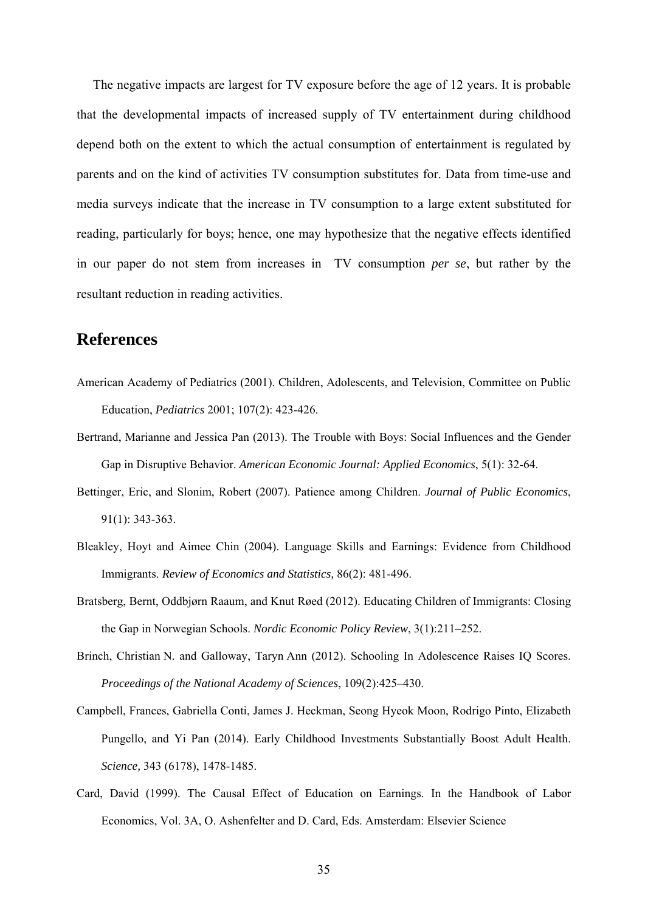The negative impacts are largest for TV exposure before the age of 12 years. It is probable that the developmental impacts of increased supply of TV entertainment during childhood depend both on the extent to which the actual consumption of entertainment is regulated by parents and on the kind of activities TV consumption substitutes for. Data from time-use and media surveys indicate that the increase in TV consumption to a large extent substituted for reading, particularly for boys; hence, one may hypothesize that the negative effects identified in our paper do not stem from increases in TV consumption *per se*, but rather by the resultant reduction in reading activities.

### **References**

- American Academy of Pediatrics (2001). Children, Adolescents, and Television, Committee on Public Education, *Pediatrics* 2001; 107(2): 423-426.
- Bertrand, Marianne and Jessica Pan (2013). The Trouble with Boys: Social Influences and the Gender Gap in Disruptive Behavior. *American Economic Journal: Applied Economics*, 5(1): 32-64.
- Bettinger, Eric, and Slonim, Robert (2007). Patience among Children. *Journal of Public Economics*, 91(1): 343-363.
- Bleakley, Hoyt and Aimee Chin (2004). Language Skills and Earnings: Evidence from Childhood Immigrants. *Review of Economics and Statistics,* 86(2): 481-496.
- Bratsberg, Bernt, Oddbjørn Raaum, and Knut Røed (2012). Educating Children of Immigrants: Closing the Gap in Norwegian Schools. *Nordic Economic Policy Review*, 3(1):211–252.
- Brinch, Christian N. and Galloway, Taryn Ann (2012). Schooling In Adolescence Raises IQ Scores. *Proceedings of the National Academy of Sciences*, 109(2):425–430.
- Campbell, Frances, Gabriella Conti, James J. Heckman, Seong Hyeok Moon, Rodrigo Pinto, Elizabeth Pungello, and Yi Pan (2014). Early Childhood Investments Substantially Boost Adult Health. *Science,* 343 (6178), 1478-1485.
- Card, David (1999). The Causal Effect of Education on Earnings. In the Handbook of Labor Economics, Vol. 3A, O. Ashenfelter and D. Card, Eds. Amsterdam: Elsevier Science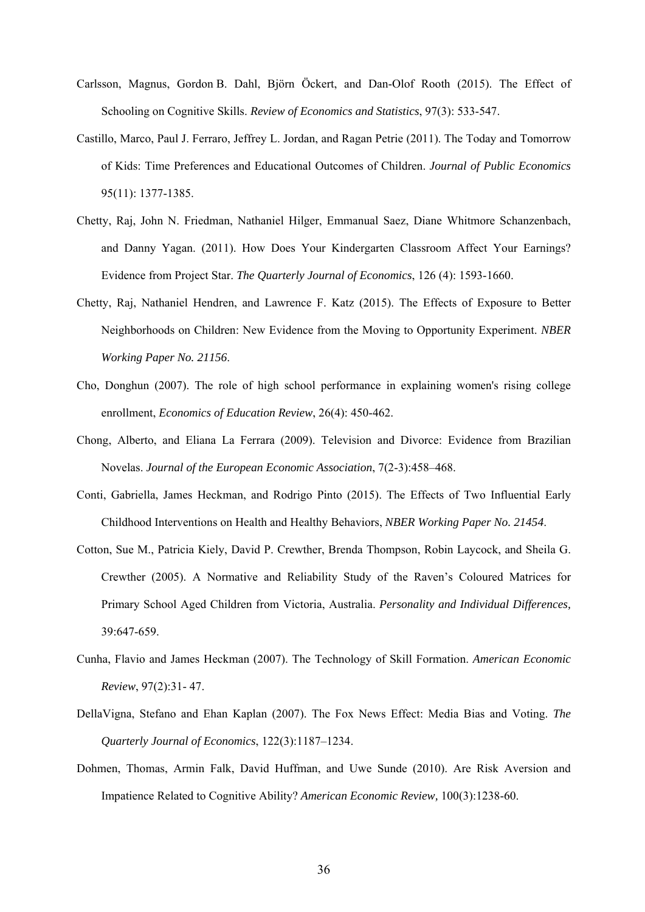- Carlsson, Magnus, Gordon B. Dahl, Björn Öckert, and Dan-Olof Rooth (2015). The Effect of Schooling on Cognitive Skills. *Review of Economics and Statistics*, 97(3): 533-547.
- Castillo, Marco, Paul J. Ferraro, Jeffrey L. Jordan, and Ragan Petrie (2011). The Today and Tomorrow of Kids: Time Preferences and Educational Outcomes of Children. *Journal of Public Economics* 95(11): 1377-1385.
- Chetty, Raj, John N. Friedman, Nathaniel Hilger, Emmanual Saez, Diane Whitmore Schanzenbach, and Danny Yagan. (2011). How Does Your Kindergarten Classroom Affect Your Earnings? Evidence from Project Star. *The Quarterly Journal of Economics*, 126 (4): 1593-1660.
- Chetty, Raj, Nathaniel Hendren, and Lawrence F. Katz (2015). The Effects of Exposure to Better Neighborhoods on Children: New Evidence from the Moving to Opportunity Experiment. *NBER Working Paper No. 21156*.
- Cho, Donghun (2007). The role of high school performance in explaining women's rising college enrollment, *Economics of Education Review*, 26(4): 450-462.
- Chong, Alberto, and Eliana La Ferrara (2009). Television and Divorce: Evidence from Brazilian Novelas. *Journal of the European Economic Association*, 7(2-3):458–468.
- Conti, Gabriella, James Heckman, and Rodrigo Pinto (2015). The Effects of Two Influential Early Childhood Interventions on Health and Healthy Behaviors, *NBER Working Paper No. 21454*.
- Cotton, Sue M., Patricia Kiely, David P. Crewther, Brenda Thompson, Robin Laycock, and Sheila G. Crewther (2005). A Normative and Reliability Study of the Raven's Coloured Matrices for Primary School Aged Children from Victoria, Australia. *Personality and Individual Differences,*  39:647-659.
- Cunha, Flavio and James Heckman (2007). The Technology of Skill Formation. *American Economic Review*, 97(2):31- 47.
- DellaVigna, Stefano and Ehan Kaplan (2007). The Fox News Effect: Media Bias and Voting. *The Quarterly Journal of Economics*, 122(3):1187–1234.
- Dohmen, Thomas, Armin Falk, David Huffman, and Uwe Sunde (2010). Are Risk Aversion and Impatience Related to Cognitive Ability? *American Economic Review,* 100(3):1238-60.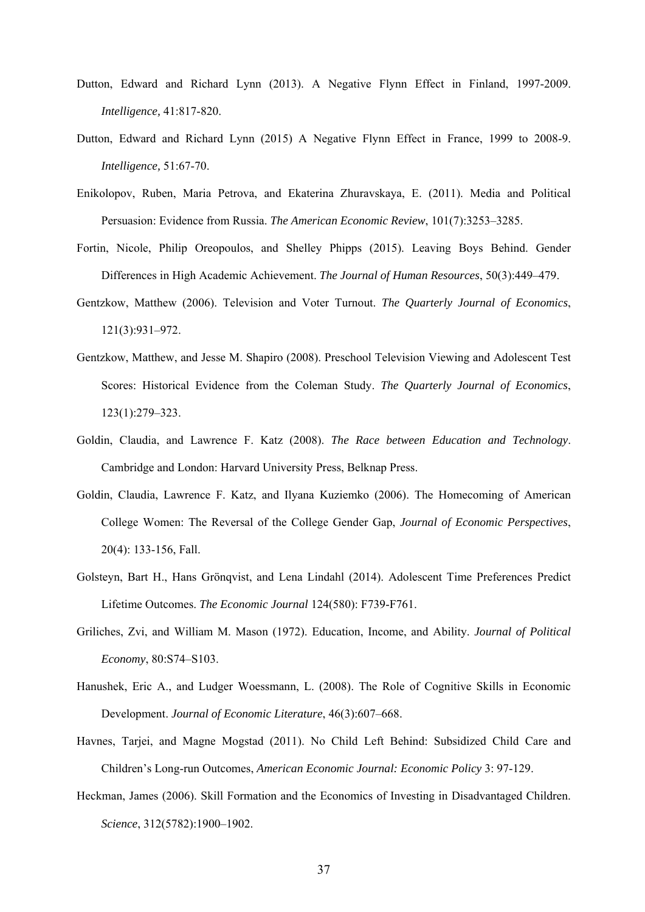- Dutton, Edward and Richard Lynn (2013). A Negative Flynn Effect in Finland, 1997-2009. *Intelligence,* 41:817-820.
- Dutton, Edward and Richard Lynn (2015) A Negative Flynn Effect in France, 1999 to 2008-9. *Intelligence,* 51:67-70.
- Enikolopov, Ruben, Maria Petrova, and Ekaterina Zhuravskaya, E. (2011). Media and Political Persuasion: Evidence from Russia. *The American Economic Review*, 101(7):3253–3285.
- Fortin, Nicole, Philip Oreopoulos, and Shelley Phipps (2015). Leaving Boys Behind. Gender Differences in High Academic Achievement. *The Journal of Human Resources*, 50(3):449–479.
- Gentzkow, Matthew (2006). Television and Voter Turnout. *The Quarterly Journal of Economics*, 121(3):931–972.
- Gentzkow, Matthew, and Jesse M. Shapiro (2008). Preschool Television Viewing and Adolescent Test Scores: Historical Evidence from the Coleman Study. *The Quarterly Journal of Economics*, 123(1):279–323.
- Goldin, Claudia, and Lawrence F. Katz (2008). *The Race between Education and Technology*. Cambridge and London: Harvard University Press, Belknap Press.
- Goldin, Claudia, Lawrence F. Katz, and Ilyana Kuziemko (2006). The Homecoming of American College Women: The Reversal of the College Gender Gap, *Journal of Economic Perspectives*, 20(4): 133-156, Fall.
- Golsteyn, Bart H., Hans Grönqvist, and Lena Lindahl (2014). Adolescent Time Preferences Predict Lifetime Outcomes. *The Economic Journal* 124(580): F739-F761.
- Griliches, Zvi, and William M. Mason (1972). Education, Income, and Ability. *Journal of Political Economy*, 80:S74–S103.
- Hanushek, Eric A., and Ludger Woessmann, L. (2008). The Role of Cognitive Skills in Economic Development. *Journal of Economic Literature*, 46(3):607–668.
- Havnes, Tarjei, and Magne Mogstad (2011). No Child Left Behind: Subsidized Child Care and Children's Long-run Outcomes, *American Economic Journal: Economic Policy* 3: 97-129.
- Heckman, James (2006). Skill Formation and the Economics of Investing in Disadvantaged Children. *Science*, 312(5782):1900–1902.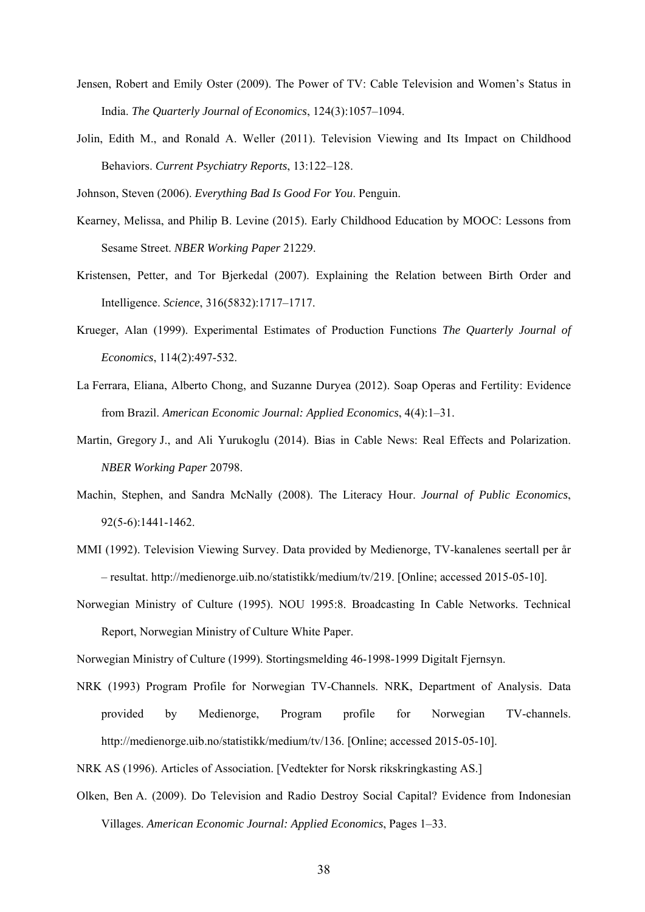- Jensen, Robert and Emily Oster (2009). The Power of TV: Cable Television and Women's Status in India. *The Quarterly Journal of Economics*, 124(3):1057–1094.
- Jolin, Edith M., and Ronald A. Weller (2011). Television Viewing and Its Impact on Childhood Behaviors. *Current Psychiatry Reports*, 13:122–128.

Johnson, Steven (2006). *Everything Bad Is Good For You*. Penguin.

- Kearney, Melissa, and Philip B. Levine (2015). Early Childhood Education by MOOC: Lessons from Sesame Street. *NBER Working Paper* 21229.
- Kristensen, Petter, and Tor Bjerkedal (2007). Explaining the Relation between Birth Order and Intelligence. *Science*, 316(5832):1717–1717.
- Krueger, Alan (1999). Experimental Estimates of Production Functions *The Quarterly Journal of Economics*, 114(2):497-532.
- La Ferrara, Eliana, Alberto Chong, and Suzanne Duryea (2012). Soap Operas and Fertility: Evidence from Brazil. *American Economic Journal: Applied Economics*, 4(4):1–31.
- Martin, Gregory J., and Ali Yurukoglu (2014). Bias in Cable News: Real Effects and Polarization. *NBER Working Paper* 20798.
- Machin, Stephen, and Sandra McNally (2008). The Literacy Hour. *Journal of Public Economics*, 92(5-6):1441-1462.
- MMI (1992). Television Viewing Survey. Data provided by Medienorge, TV-kanalenes seertall per år – resultat. http://medienorge.uib.no/statistikk/medium/tv/219. [Online; accessed 2015-05-10].
- Norwegian Ministry of Culture (1995). NOU 1995:8. Broadcasting In Cable Networks. Technical Report, Norwegian Ministry of Culture White Paper.

Norwegian Ministry of Culture (1999). Stortingsmelding 46-1998-1999 Digitalt Fjernsyn.

- NRK (1993) Program Profile for Norwegian TV-Channels. NRK, Department of Analysis. Data provided by Medienorge, Program profile for Norwegian TV-channels. http://medienorge.uib.no/statistikk/medium/tv/136. [Online; accessed 2015-05-10].
- NRK AS (1996). Articles of Association. [Vedtekter for Norsk rikskringkasting AS.]
- Olken, Ben A. (2009). Do Television and Radio Destroy Social Capital? Evidence from Indonesian Villages. *American Economic Journal: Applied Economics*, Pages 1–33.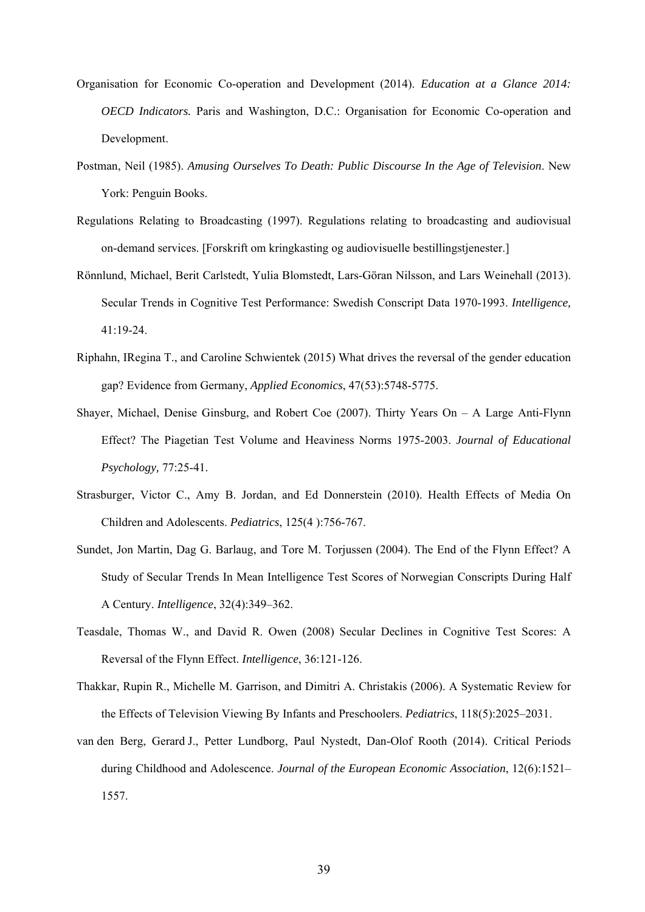- Organisation for Economic Co-operation and Development (2014). *Education at a Glance 2014: OECD Indicators.* Paris and Washington, D.C.: Organisation for Economic Co-operation and Development.
- Postman, Neil (1985). *Amusing Ourselves To Death: Public Discourse In the Age of Television*. New York: Penguin Books.
- Regulations Relating to Broadcasting (1997). Regulations relating to broadcasting and audiovisual on-demand services. [Forskrift om kringkasting og audiovisuelle bestillingstjenester.]
- Rönnlund, Michael, Berit Carlstedt, Yulia Blomstedt, Lars-Göran Nilsson, and Lars Weinehall (2013). Secular Trends in Cognitive Test Performance: Swedish Conscript Data 1970-1993. *Intelligence,* 41:19-24.
- Riphahn, IRegina T., and Caroline Schwientek (2015) What drives the reversal of the gender education gap? Evidence from Germany, *Applied Economics*, 47(53):5748-5775.
- Shayer, Michael, Denise Ginsburg, and Robert Coe (2007). Thirty Years On A Large Anti-Flynn Effect? The Piagetian Test Volume and Heaviness Norms 1975-2003. *Journal of Educational Psychology,* 77:25-41.
- Strasburger, Victor C., Amy B. Jordan, and Ed Donnerstein (2010). Health Effects of Media On Children and Adolescents. *Pediatrics*, 125(4 ):756-767.
- Sundet, Jon Martin, Dag G. Barlaug, and Tore M. Torjussen (2004). The End of the Flynn Effect? A Study of Secular Trends In Mean Intelligence Test Scores of Norwegian Conscripts During Half A Century. *Intelligence*, 32(4):349–362.
- Teasdale, Thomas W., and David R. Owen (2008) Secular Declines in Cognitive Test Scores: A Reversal of the Flynn Effect. *Intelligence*, 36:121-126.
- Thakkar, Rupin R., Michelle M. Garrison, and Dimitri A. Christakis (2006). A Systematic Review for the Effects of Television Viewing By Infants and Preschoolers. *Pediatrics*, 118(5):2025–2031.
- van den Berg, Gerard J., Petter Lundborg, Paul Nystedt, Dan-Olof Rooth (2014). Critical Periods during Childhood and Adolescence. *Journal of the European Economic Association*, 12(6):1521– 1557.